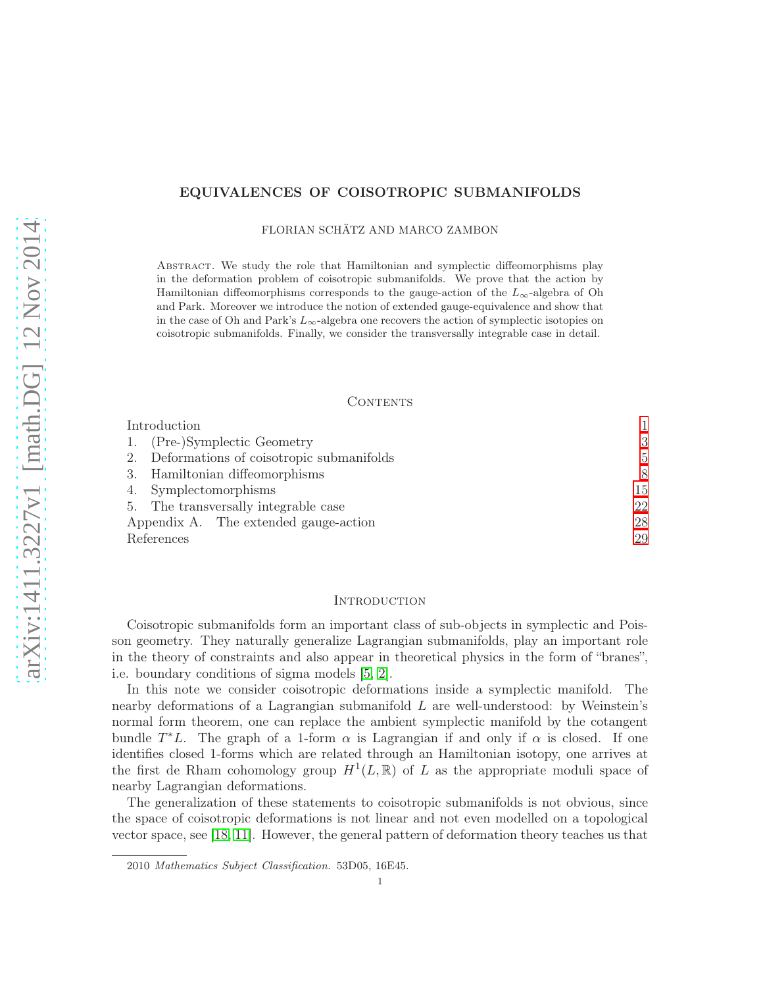# EQUIVALENCES OF COISOTROPIC SUBMANIFOLDS

FLORIAN SCHÄTZ AND MARCO ZAMBON

Abstract. We study the role that Hamiltonian and symplectic diffeomorphisms play in the deformation problem of coisotropic submanifolds. We prove that the action by Hamiltonian diffeomorphisms corresponds to the gauge-action of the  $L_{\infty}$ -algebra of Oh and Park. Moreover we introduce the notion of extended gauge-equivalence and show that in the case of Oh and Park's  $L_{\infty}$ -algebra one recovers the action of symplectic isotopies on coisotropic submanifolds. Finally, we consider the transversally integrable case in detail.

### CONTENTS

| Introduction                                |                |
|---------------------------------------------|----------------|
| 1. (Pre-)Symplectic Geometry                | 3              |
| 2. Deformations of coisotropic submanifolds | $\overline{5}$ |
| 3. Hamiltonian diffeomorphisms              | 8              |
| 4. Symplectomorphisms                       | 15             |
| 5. The transversally integrable case        | 22             |
| Appendix A. The extended gauge-action       | 28             |
| References                                  | 29             |

## <span id="page-0-0"></span>**INTRODUCTION**

Coisotropic submanifolds form an important class of sub-objects in symplectic and Poisson geometry. They naturally generalize Lagrangian submanifolds, play an important role in the theory of constraints and also appear in theoretical physics in the form of "branes", i.e. boundary conditions of sigma models [\[5,](#page-28-1) [2\]](#page-28-2).

In this note we consider coisotropic deformations inside a symplectic manifold. The nearby deformations of a Lagrangian submanifold  $L$  are well-understood: by Weinstein's normal form theorem, one can replace the ambient symplectic manifold by the cotangent bundle  $T^*L$ . The graph of a 1-form  $\alpha$  is Lagrangian if and only if  $\alpha$  is closed. If one identifies closed 1-forms which are related through an Hamiltonian isotopy, one arrives at the first de Rham cohomology group  $H^1(L,\mathbb{R})$  of L as the appropriate moduli space of nearby Lagrangian deformations.

The generalization of these statements to coisotropic submanifolds is not obvious, since the space of coisotropic deformations is not linear and not even modelled on a topological vector space, see [\[18,](#page-29-0) [11\]](#page-28-3). However, the general pattern of deformation theory teaches us that

<sup>2010</sup> Mathematics Subject Classification. 53D05, 16E45.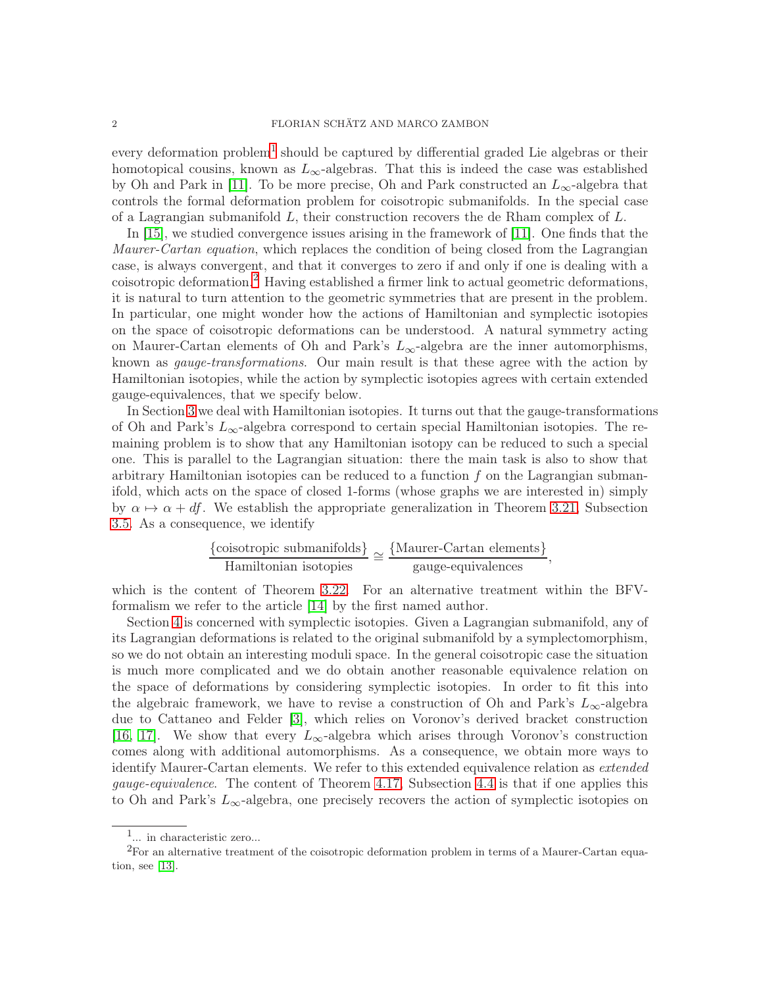every deformation problem<sup>[1](#page-1-0)</sup> should be captured by differential graded Lie algebras or their homotopical cousins, known as  $L_{\infty}$ -algebras. That this is indeed the case was established by Oh and Park in [\[11\]](#page-28-3). To be more precise, Oh and Park constructed an  $L_{\infty}$ -algebra that controls the formal deformation problem for coisotropic submanifolds. In the special case of a Lagrangian submanifold  $L$ , their construction recovers the de Rham complex of  $L$ .

In [\[15\]](#page-28-4), we studied convergence issues arising in the framework of [\[11\]](#page-28-3). One finds that the Maurer-Cartan equation, which replaces the condition of being closed from the Lagrangian case, is always convergent, and that it converges to zero if and only if one is dealing with a coisotropic deformation.[2](#page-1-1) Having established a firmer link to actual geometric deformations, it is natural to turn attention to the geometric symmetries that are present in the problem. In particular, one might wonder how the actions of Hamiltonian and symplectic isotopies on the space of coisotropic deformations can be understood. A natural symmetry acting on Maurer-Cartan elements of Oh and Park's  $L_{\infty}$ -algebra are the inner automorphisms, known as *gauge-transformations*. Our main result is that these agree with the action by Hamiltonian isotopies, while the action by symplectic isotopies agrees with certain extended gauge-equivalences, that we specify below.

In Section [3](#page-7-0) we deal with Hamiltonian isotopies. It turns out that the gauge-transformations of Oh and Park's  $L_{\infty}$ -algebra correspond to certain special Hamiltonian isotopies. The remaining problem is to show that any Hamiltonian isotopy can be reduced to such a special one. This is parallel to the Lagrangian situation: there the main task is also to show that arbitrary Hamiltonian isotopies can be reduced to a function  $f$  on the Lagrangian submanifold, which acts on the space of closed 1-forms (whose graphs we are interested in) simply by  $\alpha \mapsto \alpha + df$ . We establish the appropriate generalization in Theorem [3.21,](#page-13-0) Subsection [3.5.](#page-12-0) As a consequence, we identify

$$
\frac{\{\text{coisotropic submanifolds}\}}{\text{Hamiltonian isotopies}} \cong \frac{\{\text{Maurer-Cartan elements}\}}{\text{gauge-equivalence}},
$$

which is the content of Theorem [3.22.](#page-14-1) For an alternative treatment within the BFVformalism we refer to the article [\[14\]](#page-28-5) by the first named author.

Section [4](#page-14-0) is concerned with symplectic isotopies. Given a Lagrangian submanifold, any of its Lagrangian deformations is related to the original submanifold by a symplectomorphism, so we do not obtain an interesting moduli space. In the general coisotropic case the situation is much more complicated and we do obtain another reasonable equivalence relation on the space of deformations by considering symplectic isotopies. In order to fit this into the algebraic framework, we have to revise a construction of Oh and Park's  $L_{\infty}$ -algebra due to Cattaneo and Felder [\[3\]](#page-28-6), which relies on Voronov's derived bracket construction [\[16,](#page-29-1) [17\]](#page-29-2). We show that every  $L_{\infty}$ -algebra which arises through Voronov's construction comes along with additional automorphisms. As a consequence, we obtain more ways to identify Maurer-Cartan elements. We refer to this extended equivalence relation as *extended* gauge-equivalence. The content of Theorem [4.17,](#page-20-0) Subsection [4.4](#page-19-0) is that if one applies this to Oh and Park's  $L_{\infty}$ -algebra, one precisely recovers the action of symplectic isotopies on

<span id="page-1-0"></span><sup>1</sup> ... in characteristic zero...

<span id="page-1-1"></span><sup>2</sup>For an alternative treatment of the coisotropic deformation problem in terms of a Maurer-Cartan equation, see [\[13\]](#page-28-7).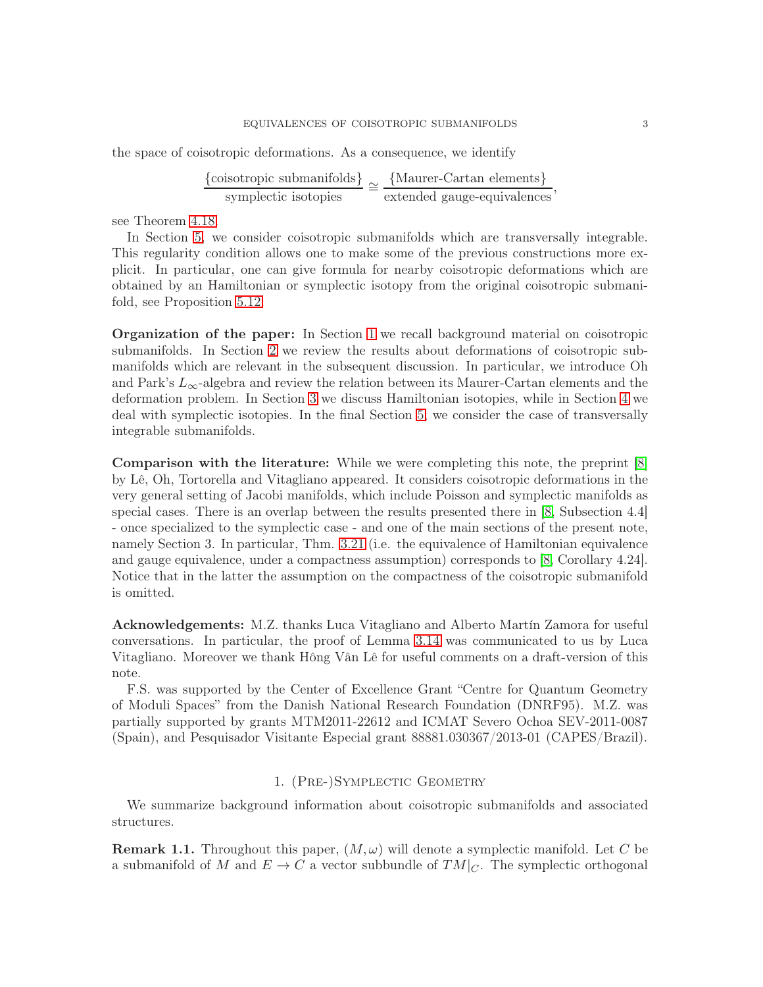## EQUIVALENCES OF COISOTROPIC SUBMANIFOLDS 3

the space of coisotropic deformations. As a consequence, we identify

{coisotropic submanifolds}  $\frac{\text{isotropic submanifolds}}{\text{symplectic isotopies}} \cong \frac{\{\text{Maurer-Cartan elements}\}}{\text{extended gauge-equivalence}},$ 

see Theorem [4.18.](#page-20-1)

In Section [5,](#page-21-0) we consider coisotropic submanifolds which are transversally integrable. This regularity condition allows one to make some of the previous constructions more explicit. In particular, one can give formula for nearby coisotropic deformations which are obtained by an Hamiltonian or symplectic isotopy from the original coisotropic submanifold, see Proposition [5.12.](#page-26-0)

Organization of the paper: In Section [1](#page-2-0) we recall background material on coisotropic submanifolds. In Section [2](#page-4-0) we review the results about deformations of coisotropic submanifolds which are relevant in the subsequent discussion. In particular, we introduce Oh and Park's  $L_{\infty}$ -algebra and review the relation between its Maurer-Cartan elements and the deformation problem. In Section [3](#page-7-0) we discuss Hamiltonian isotopies, while in Section [4](#page-14-0) we deal with symplectic isotopies. In the final Section [5,](#page-21-0) we consider the case of transversally integrable submanifolds.

Comparison with the literature: While we were completing this note, the preprint [\[8\]](#page-28-8) by Lê, Oh, Tortorella and Vitagliano appeared. It considers coisotropic deformations in the very general setting of Jacobi manifolds, which include Poisson and symplectic manifolds as special cases. There is an overlap between the results presented there in [\[8,](#page-28-8) Subsection 4.4] - once specialized to the symplectic case - and one of the main sections of the present note, namely Section 3. In particular, Thm. [3.21](#page-13-0) (i.e. the equivalence of Hamiltonian equivalence and gauge equivalence, under a compactness assumption) corresponds to [\[8,](#page-28-8) Corollary 4.24]. Notice that in the latter the assumption on the compactness of the coisotropic submanifold is omitted.

Acknowledgements: M.Z. thanks Luca Vitagliano and Alberto Martín Zamora for useful conversations. In particular, the proof of Lemma [3.14](#page-11-0) was communicated to us by Luca Vitagliano. Moreover we thank Hông Vân Lê for useful comments on a draft-version of this note.

F.S. was supported by the Center of Excellence Grant "Centre for Quantum Geometry of Moduli Spaces" from the Danish National Research Foundation (DNRF95). M.Z. was partially supported by grants MTM2011-22612 and ICMAT Severo Ochoa SEV-2011-0087 (Spain), and Pesquisador Visitante Especial grant 88881.030367/2013-01 (CAPES/Brazil).

## 1. (Pre-)Symplectic Geometry

<span id="page-2-0"></span>We summarize background information about coisotropic submanifolds and associated structures.

**Remark 1.1.** Throughout this paper,  $(M, \omega)$  will denote a symplectic manifold. Let C be a submanifold of M and  $E \to C$  a vector subbundle of  $TM|_C$ . The symplectic orthogonal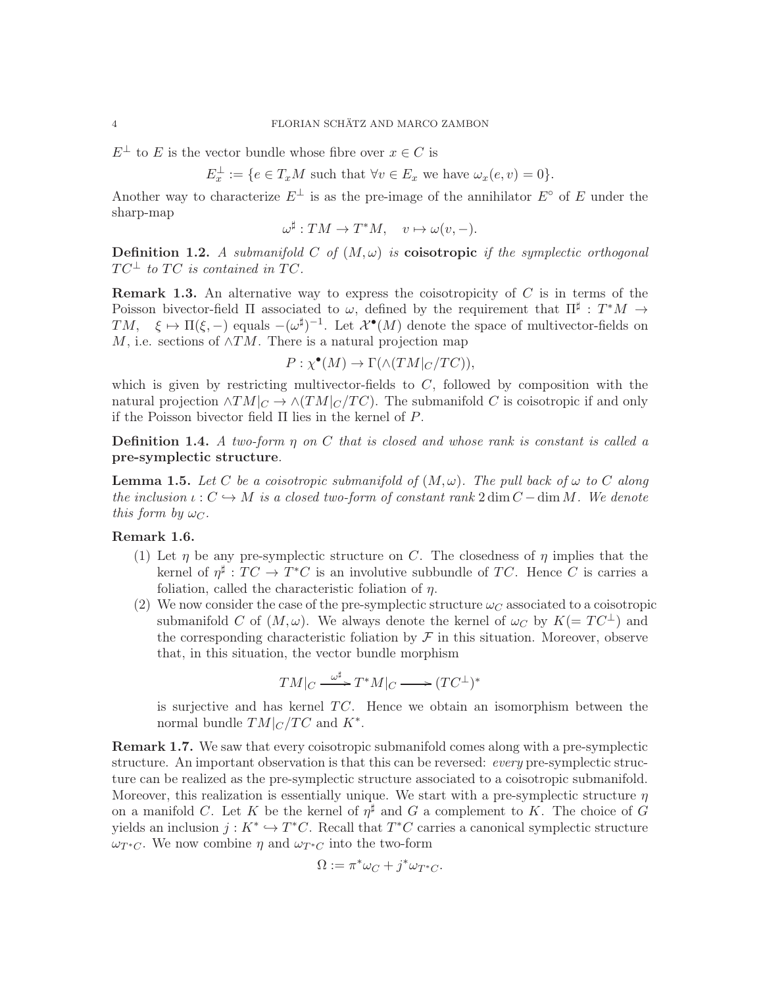$E^{\perp}$  to E is the vector bundle whose fibre over  $x \in C$  is

 $E_x^{\perp} := \{e \in T_x M \text{ such that } \forall v \in E_x \text{ we have } \omega_x(e, v) = 0\}.$ 

Another way to characterize  $E^{\perp}$  is as the pre-image of the annihilator  $E^{\circ}$  of E under the sharp-map

$$
\omega^{\sharp}: TM \to T^*M, \quad v \mapsto \omega(v, -).
$$

**Definition 1.2.** A submanifold C of  $(M, \omega)$  is **coisotropic** if the symplectic orthogonal  $TC^{\perp}$  to TC is contained in TC.

**Remark 1.3.** An alternative way to express the coisotropicity of  $C$  is in terms of the Poisson bivector-field  $\Pi$  associated to  $\omega$ , defined by the requirement that  $\Pi^{\sharp}: T^*M \to$ TM,  $\xi \mapsto \Pi(\xi, -)$  equals  $-(\omega^{\sharp})^{-1}$ . Let  $\mathcal{X}^{\bullet}(M)$  denote the space of multivector-fields on M, i.e. sections of  $\wedge TM$ . There is a natural projection map

$$
P: \chi^{\bullet}(M) \to \Gamma(\wedge (TM|_{C}/TC)),
$$

which is given by restricting multivector-fields to  $C$ , followed by composition with the natural projection  $\wedge TM|_{C} \to \wedge (TM|_{C}/TC)$ . The submanifold C is coisotropic if and only if the Poisson bivector field  $\Pi$  lies in the kernel of  $P$ .

**Definition 1.4.** A two-form  $\eta$  on C that is closed and whose rank is constant is called a pre-symplectic structure.

**Lemma 1.5.** Let C be a coisotropic submanifold of  $(M, \omega)$ . The pull back of  $\omega$  to C along the inclusion  $\iota: C \hookrightarrow M$  is a closed two-form of constant rank  $2 \dim C - \dim M$ . We denote this form by  $\omega_C$ .

# <span id="page-3-0"></span>Remark 1.6.

- (1) Let  $\eta$  be any pre-symplectic structure on C. The closedness of  $\eta$  implies that the kernel of  $\eta^{\sharp}: TC \to T^*C$  is an involutive subbundle of TC. Hence C is carries a foliation, called the characteristic foliation of  $\eta$ .
- (2) We now consider the case of the pre-symplectic structure  $\omega_C$  associated to a coisotropic submanifold C of  $(M, \omega)$ . We always denote the kernel of  $\omega_C$  by  $K(= TC^{\perp})$  and the corresponding characteristic foliation by  $\mathcal F$  in this situation. Moreover, observe that, in this situation, the vector bundle morphism

$$
TM|_{C} \xrightarrow{\omega^{\sharp}} T^{*}M|_{C} \longrightarrow (TC^{\perp})^{*}
$$

is surjective and has kernel  $TC$ . Hence we obtain an isomorphism between the normal bundle  $TM|_C/TC$  and  $K^*$ .

Remark 1.7. We saw that every coisotropic submanifold comes along with a pre-symplectic structure. An important observation is that this can be reversed: *every* pre-symplectic structure can be realized as the pre-symplectic structure associated to a coisotropic submanifold. Moreover, this realization is essentially unique. We start with a pre-symplectic structure  $\eta$ on a manifold C. Let K be the kernel of  $\eta^{\sharp}$  and G a complement to K. The choice of G yields an inclusion  $j: K^* \hookrightarrow T^*C$ . Recall that  $T^*C$  carries a canonical symplectic structure  $\omega_{T^*C}$ . We now combine  $\eta$  and  $\omega_{T^*C}$  into the two-form

$$
\Omega := \pi^* \omega_C + j^* \omega_{T^*C}.
$$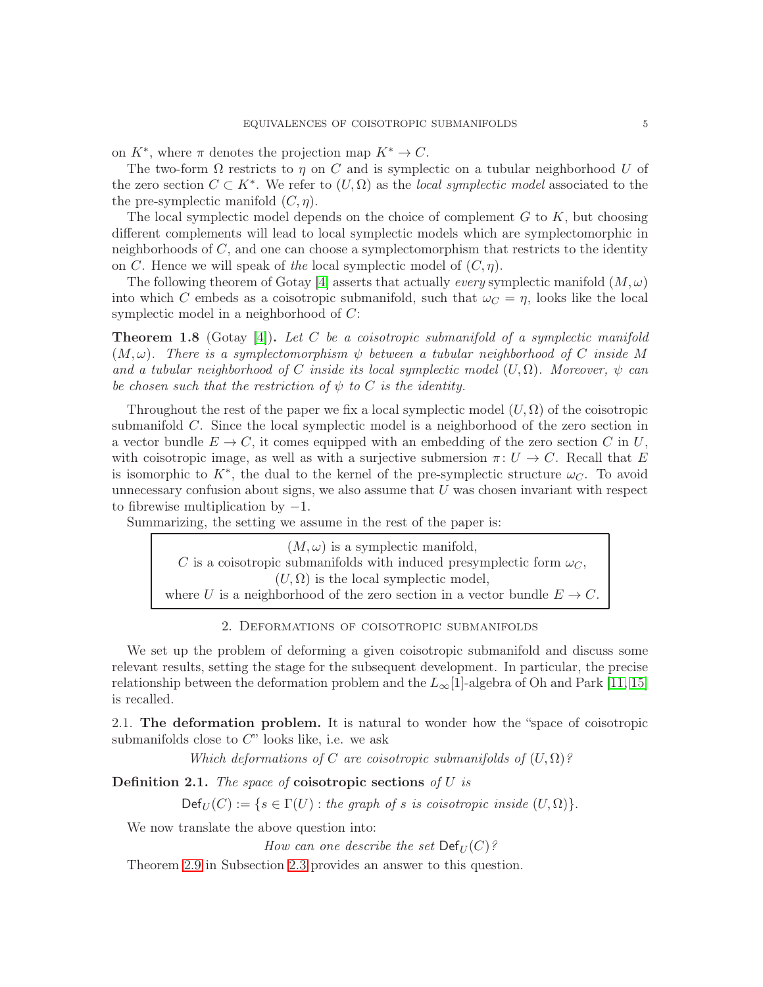on  $K^*$ , where  $\pi$  denotes the projection map  $K^* \to C$ .

The two-form  $\Omega$  restricts to  $\eta$  on C and is symplectic on a tubular neighborhood U of the zero section  $C \subset K^*$ . We refer to  $(U, \Omega)$  as the *local symplectic model* associated to the the pre-symplectic manifold  $(C, \eta)$ .

The local symplectic model depends on the choice of complement  $G$  to  $K$ , but choosing different complements will lead to local symplectic models which are symplectomorphic in neighborhoods of  $C$ , and one can choose a symplectomorphism that restricts to the identity on C. Hence we will speak of the local symplectic model of  $(C, \eta)$ .

The following theorem of Gotay [\[4\]](#page-28-9) asserts that actually *every* symplectic manifold  $(M, \omega)$ into which C embeds as a coisotropic submanifold, such that  $\omega_C = \eta$ , looks like the local symplectic model in a neighborhood of  $C$ :

**Theorem 1.8** (Gotay [\[4\]](#page-28-9)). Let C be a coisotropic submanifold of a symplectic manifold  $(M, \omega)$ . There is a symplectomorphism  $\psi$  between a tubular neighborhood of C inside M and a tubular neighborhood of C inside its local symplectic model  $(U, \Omega)$ . Moreover,  $\psi$  can be chosen such that the restriction of  $\psi$  to C is the identity.

Throughout the rest of the paper we fix a local symplectic model  $(U, \Omega)$  of the coisotropic submanifold C. Since the local symplectic model is a neighborhood of the zero section in a vector bundle  $E \to C$ , it comes equipped with an embedding of the zero section C in U, with coisotropic image, as well as with a surjective submersion  $\pi: U \to C$ . Recall that E is isomorphic to  $K^*$ , the dual to the kernel of the pre-symplectic structure  $\omega_C$ . To avoid unnecessary confusion about signs, we also assume that  $U$  was chosen invariant with respect to fibrewise multiplication by  $-1$ .

Summarizing, the setting we assume in the rest of the paper is:

 $(M, \omega)$  is a symplectic manifold, C is a coisotropic submanifolds with induced presymplectic form  $\omega_C$ ,  $(U, \Omega)$  is the local symplectic model, where U is a neighborhood of the zero section in a vector bundle  $E \to C$ .

# 2. Deformations of coisotropic submanifolds

<span id="page-4-0"></span>We set up the problem of deforming a given coisotropic submanifold and discuss some relevant results, setting the stage for the subsequent development. In particular, the precise relationship between the deformation problem and the  $L_{\infty}[1]$ -algebra of Oh and Park [\[11,](#page-28-3) [15\]](#page-28-4) is recalled.

<span id="page-4-1"></span>2.1. The deformation problem. It is natural to wonder how the "space of coisotropic submanifolds close to  $C$ " looks like, i.e. we ask

Which deformations of C are coisotropic submanifolds of  $(U, \Omega)$ ?

<span id="page-4-2"></span>**Definition 2.1.** The space of **coisotropic sections** of  $U$  is

 $Def_U(C) := \{ s \in \Gamma(U) : \text{the graph of } s \text{ is coisotropic inside } (U, \Omega) \}.$ 

We now translate the above question into:

How can one describe the set  $\mathrm{Def}_U(C)?$ 

Theorem [2.9](#page-7-1) in Subsection [2.3](#page-6-0) provides an answer to this question.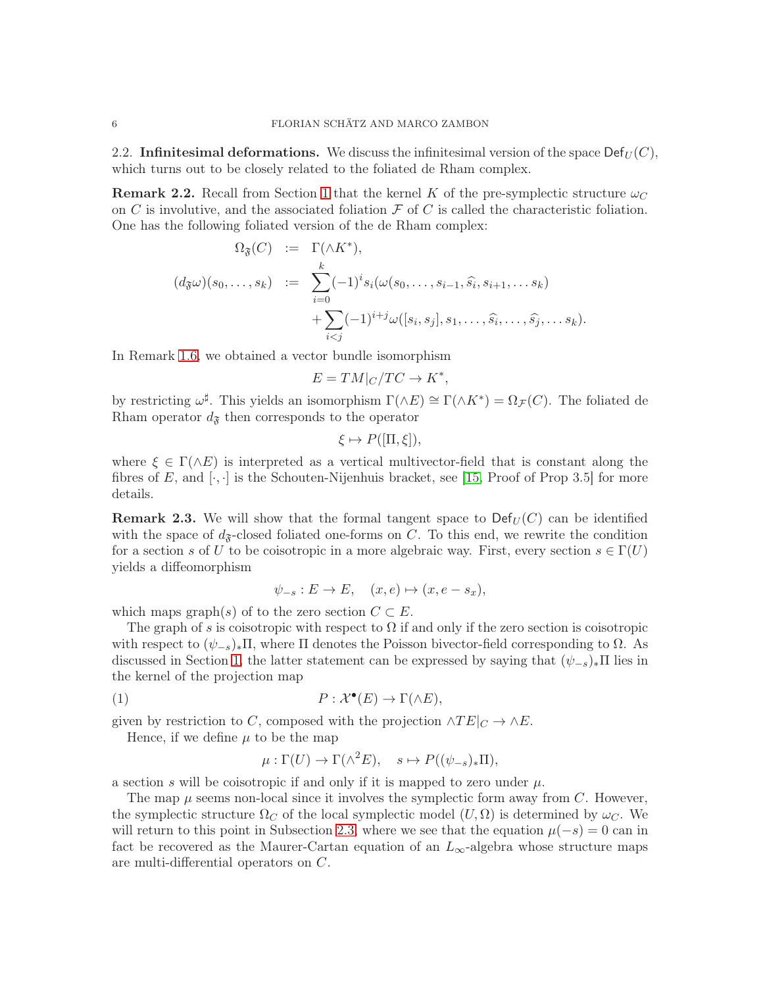<span id="page-5-3"></span>2.2. Infinitesimal deformations. We discuss the infinitesimal version of the space  $\textsf{Def}_{U}(C)$ , which turns out to be closely related to the foliated de Rham complex.

<span id="page-5-0"></span>**Remark 2.2.** Recall from Section [1](#page-2-0) that the kernel K of the pre-symplectic structure  $\omega_C$ on C is involutive, and the associated foliation  $\mathcal F$  of C is called the characteristic foliation. One has the following foliated version of the de Rham complex:

$$
\Omega_{\mathfrak{F}}(C) := \Gamma(\wedge K^*),
$$
  
\n
$$
(d_{\mathfrak{F}}\omega)(s_0, \ldots, s_k) := \sum_{i=0}^k (-1)^i s_i(\omega(s_0, \ldots, s_{i-1}, \widehat{s}_i, s_{i+1}, \ldots s_k)
$$
  
\n
$$
+ \sum_{i < j} (-1)^{i+j} \omega([s_i, s_j], s_1, \ldots, \widehat{s}_i, \ldots, \widehat{s}_j, \ldots s_k).
$$

In Remark [1.6,](#page-3-0) we obtained a vector bundle isomorphism

$$
E = TM|_{C}/TC \rightarrow K^{*},
$$

by restricting  $\omega^{\sharp}$ . This yields an isomorphism  $\Gamma(\wedge E) \cong \Gamma(\wedge K^*) = \Omega_{\mathcal{F}}(C)$ . The foliated de Rham operator  $d_{\mathfrak{F}}$  then corresponds to the operator

$$
\xi \mapsto P([\Pi, \xi]),
$$

where  $\xi \in \Gamma(\wedge E)$  is interpreted as a vertical multivector-field that is constant along the fibres of E, and  $[\cdot, \cdot]$  is the Schouten-Nijenhuis bracket, see [\[15,](#page-28-4) Proof of Prop 3.5] for more details.

<span id="page-5-1"></span>**Remark 2.3.** We will show that the formal tangent space to  $\text{Def}_U(C)$  can be identified with the space of  $d_{\mathcal{F}}$ -closed foliated one-forms on C. To this end, we rewrite the condition for a section s of U to be coisotropic in a more algebraic way. First, every section  $s \in \Gamma(U)$ yields a diffeomorphism

$$
\psi_{-s}: E \to E, \quad (x, e) \mapsto (x, e - s_x),
$$

which maps graph(s) of to the zero section  $C \subset E$ .

The graph of s is coisotropic with respect to  $\Omega$  if and only if the zero section is coisotropic with respect to  $(\psi_{-s})_*\Pi$ , where  $\Pi$  denotes the Poisson bivector-field corresponding to  $\Omega$ . As discussed in Section [1,](#page-2-0) the latter statement can be expressed by saying that  $(\psi_{-s})_*\Pi$  lies in the kernel of the projection map

(1) 
$$
P: \mathcal{X}^{\bullet}(E) \to \Gamma(\wedge E),
$$

given by restriction to C, composed with the projection  $\wedge TE|_C \to \wedge E$ .

Hence, if we define  $\mu$  to be the map

<span id="page-5-2"></span>
$$
\mu : \Gamma(U) \to \Gamma(\wedge^2 E), \quad s \mapsto P((\psi_{-s})_* \Pi),
$$

a section s will be coisotropic if and only if it is mapped to zero under  $\mu$ .

The map  $\mu$  seems non-local since it involves the symplectic form away from C. However, the symplectic structure  $\Omega_C$  of the local symplectic model  $(U, \Omega)$  is determined by  $\omega_C$ . We will return to this point in Subsection [2.3,](#page-6-0) where we see that the equation  $\mu(-s) = 0$  can in fact be recovered as the Maurer-Cartan equation of an  $L_{\infty}$ -algebra whose structure maps are multi-differential operators on C.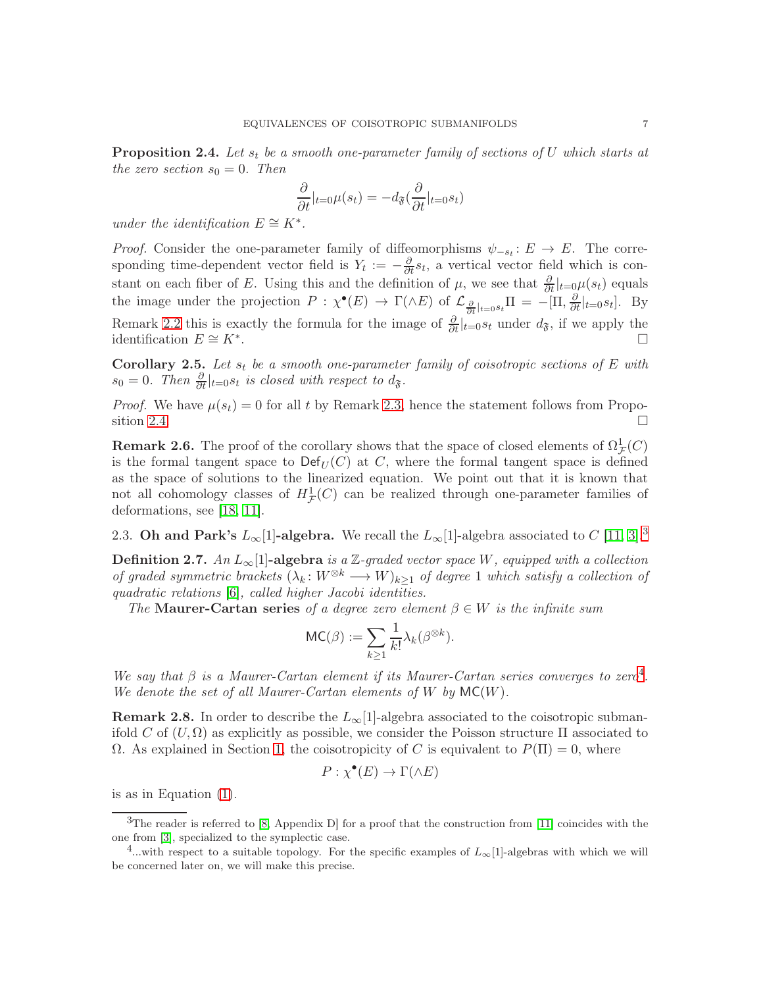<span id="page-6-1"></span>**Proposition 2.4.** Let  $s_t$  be a smooth one-parameter family of sections of U which starts at the zero section  $s_0 = 0$ . Then

$$
\frac{\partial}{\partial t}|_{t=0}\mu(s_t) = -d_{\mathfrak{F}}(\frac{\partial}{\partial t}|_{t=0}s_t)
$$

under the identification  $E \cong K^*$ .

*Proof.* Consider the one-parameter family of diffeomorphisms  $\psi_{-s_t}: E \to E$ . The corresponding time-dependent vector field is  $Y_t := -\frac{\partial}{\partial t} s_t$ , a vertical vector field which is constant on each fiber of E. Using this and the definition of  $\mu$ , we see that  $\frac{\partial}{\partial t}|_{t=0}\mu(s_t)$  equals the image under the projection  $P: \chi^{\bullet}(E) \to \Gamma(\wedge E)$  of  $\mathcal{L}_{\frac{\partial}{\partial t}|_{t=0} s_t} \Pi = -[\Pi, \frac{\partial}{\partial t}|_{t=0} s_t].$  By Remark [2.2](#page-5-0) this is exactly the formula for the image of  $\frac{\partial}{\partial t}|_{t=0} s_t$  under  $d_{\mathfrak{F}}$ , if we apply the identification  $E \cong K^*$ . .  $\Box$ 

Corollary 2.5. Let  $s_t$  be a smooth one-parameter family of coisotropic sections of E with  $s_0 = 0$ . Then  $\frac{\partial}{\partial t}|_{t=0} s_t$  is closed with respect to  $d_{\mathfrak{F}}$ .

*Proof.* We have  $\mu(s_t) = 0$  for all t by Remark [2.3,](#page-5-1) hence the statement follows from Propo-sition [2.4.](#page-6-1)

<span id="page-6-4"></span>**Remark 2.6.** The proof of the corollary shows that the space of closed elements of  $\Omega_{\mathcal{F}}^1(C)$ is the formal tangent space to  $\mathrm{Def}_U(C)$  at C, where the formal tangent space is defined as the space of solutions to the linearized equation. We point out that it is known that not all cohomology classes of  $H^1_{\mathcal{F}}(C)$  can be realized through one-parameter families of deformations, see [\[18,](#page-29-0) [11\]](#page-28-3).

<span id="page-6-0"></span>2.[3](#page-6-2). Oh and Park's  $L_{\infty}[1]$ -algebra. We recall the  $L_{\infty}[1]$ -algebra associated to C [\[11,](#page-28-3) [3\]](#page-28-6).<sup>3</sup>

**Definition 2.7.** An  $L_{\infty}[1]$ -algebra is a Z-graded vector space W, equipped with a collection of graded symmetric brackets  $(\lambda_k: W^{\otimes k} \longrightarrow W)_{k>1}$  of degree 1 which satisfy a collection of quadratic relations [\[6\]](#page-28-10), called higher Jacobi identities.

The Maurer-Cartan series of a degree zero element  $\beta \in W$  is the infinite sum

$$
\mathsf{MC}(\beta) := \sum_{k \geq 1} \frac{1}{k!} \lambda_k(\beta^{\otimes k}).
$$

We say that  $\beta$  is a Maurer-Cartan element if its Maurer-Cartan series converges to zero<sup>[4](#page-6-3)</sup>. We denote the set of all Maurer-Cartan elements of  $W$  by  $MC(W)$ .

**Remark 2.8.** In order to describe the  $L_{\infty}[1]$ -algebra associated to the coisotropic submanifold C of  $(U, \Omega)$  as explicitly as possible, we consider the Poisson structure  $\Pi$  associated to  $\Omega$ . As explained in Section [1,](#page-2-0) the coisotropicity of C is equivalent to  $P(\Pi) = 0$ , where

$$
P: \chi^{\bullet}(E) \to \Gamma(\wedge E)
$$

is as in Equation [\(1\)](#page-5-2).

<span id="page-6-2"></span> $3$ The reader is referred to [\[8,](#page-28-8) Appendix D] for a proof that the construction from [\[11\]](#page-28-3) coincides with the one from [\[3\]](#page-28-6), specialized to the symplectic case.

<span id="page-6-3"></span><sup>&</sup>lt;sup>4</sup>...with respect to a suitable topology. For the specific examples of  $L_{\infty}[1]$ -algebras with which we will be concerned later on, we will make this precise.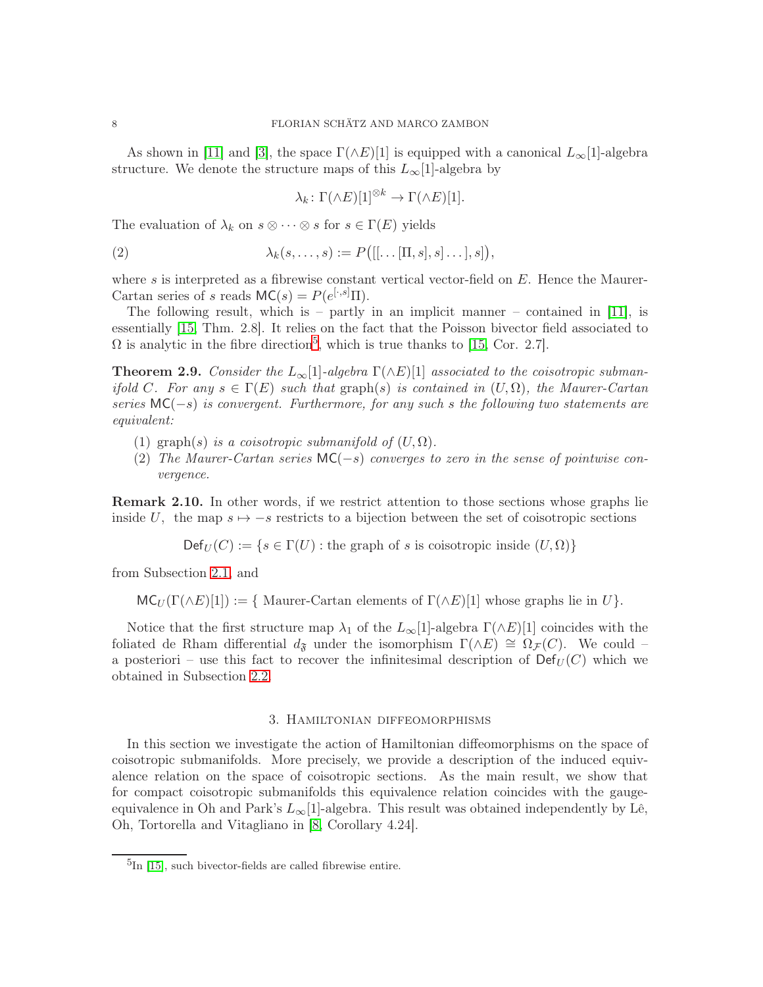As shown in [\[11\]](#page-28-3) and [\[3\]](#page-28-6), the space  $\Gamma(\wedge E)[1]$  is equipped with a canonical  $L_{\infty}[1]$ -algebra structure. We denote the structure maps of this  $L_{\infty}[1]$ -algebra by

<span id="page-7-4"></span>
$$
\lambda_k \colon \Gamma(\wedge E)[1]^{\otimes k} \to \Gamma(\wedge E)[1].
$$

The evaluation of  $\lambda_k$  on  $s \otimes \cdots \otimes s$  for  $s \in \Gamma(E)$  yields

(2) 
$$
\lambda_k(s,\ldots,s) := P\big([[\ldots[\Pi,s],s]\ldots],s]\big),
$$

where s is interpreted as a fibrewise constant vertical vector-field on  $E$ . Hence the Maurer-Cartan series of s reads  $MC(s) = P(e^{[\cdot,s]}\Pi)$ .

The following result, which is – partly in an implicit manner – contained in [\[11\]](#page-28-3), is essentially [\[15,](#page-28-4) Thm. 2.8]. It relies on the fact that the Poisson bivector field associated to  $\Omega$  is analytic in the fibre direction<sup>[5](#page-7-2)</sup>, which is true thanks to [\[15,](#page-28-4) Cor. 2.7].

<span id="page-7-1"></span>**Theorem 2.9.** Consider the  $L_{\infty}[1]$ -algebra  $\Gamma(\wedge E)[1]$  associated to the coisotropic submanifold C. For any  $s \in \Gamma(E)$  such that graph(s) is contained in  $(U, \Omega)$ , the Maurer-Cartan series  $MC(-s)$  is convergent. Furthermore, for any such s the following two statements are equivalent:

- (1) graph(s) is a coisotropic submanifold of  $(U, \Omega)$ .
- (2) The Maurer-Cartan series  $MC(-s)$  converges to zero in the sense of pointwise convergence.

<span id="page-7-3"></span>**Remark 2.10.** In other words, if we restrict attention to those sections whose graphs lie inside U, the map  $s \mapsto -s$  restricts to a bijection between the set of coisotropic sections

 $Def_U(C) := \{ s \in \Gamma(U) : \text{the graph of } s \text{ is coisotropic inside } (U, \Omega) \}$ 

from Subsection [2.1,](#page-4-1) and

 $MC_U(\Gamma(\wedge E)[1]) := \{$  Maurer-Cartan elements of  $\Gamma(\wedge E)[1]$  whose graphs lie in U}.

Notice that the first structure map  $\lambda_1$  of the  $L_\infty[1]$ -algebra  $\Gamma(\wedge E)[1]$  coincides with the foliated de Rham differential  $d_{\mathfrak{F}}$  under the isomorphism  $\Gamma(\wedge E) \cong \Omega_{\mathcal{F}}(C)$ . We could – a posteriori – use this fact to recover the infinitesimal description of  $\textsf{Def}_U(C)$  which we obtained in Subsection [2.2.](#page-5-3)

## 3. Hamiltonian diffeomorphisms

<span id="page-7-0"></span>In this section we investigate the action of Hamiltonian diffeomorphisms on the space of coisotropic submanifolds. More precisely, we provide a description of the induced equivalence relation on the space of coisotropic sections. As the main result, we show that for compact coisotropic submanifolds this equivalence relation coincides with the gaugeequivalence in Oh and Park's  $L_{\infty}[1]$ -algebra. This result was obtained independently by Lê, Oh, Tortorella and Vitagliano in [\[8,](#page-28-8) Corollary 4.24].

<span id="page-7-2"></span><sup>&</sup>lt;sup>5</sup>In [\[15\]](#page-28-4), such bivector-fields are called fibrewise entire.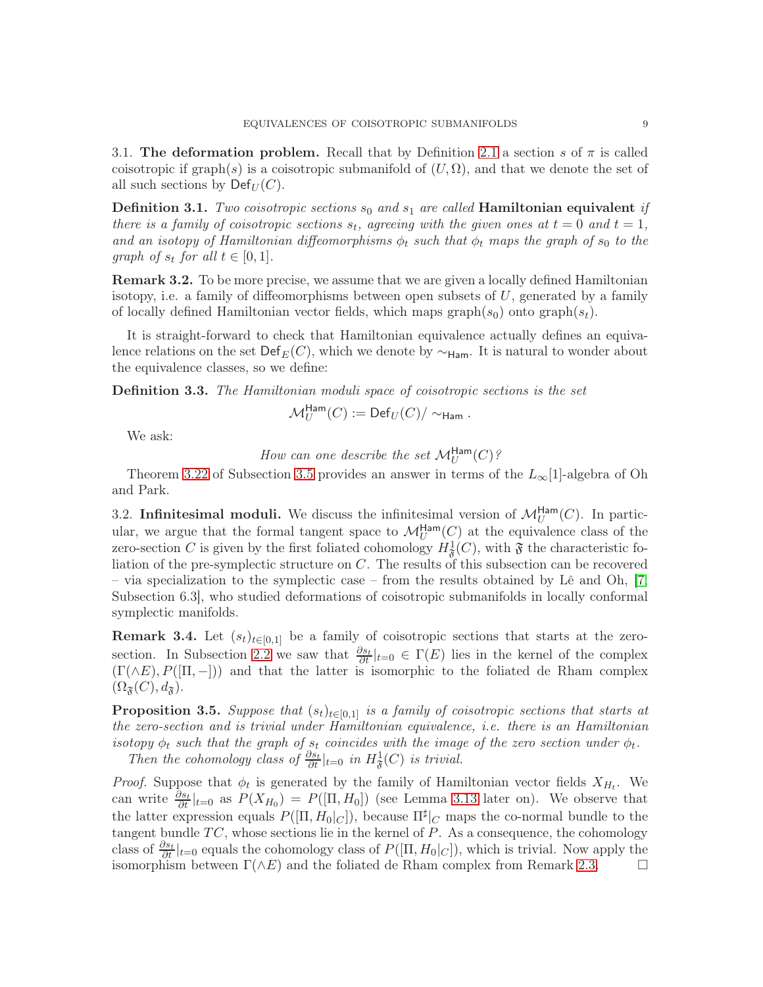3.1. The deformation problem. Recall that by Definition [2.1](#page-4-2) a section s of  $\pi$  is called coisotropic if graph(s) is a coisotropic submanifold of  $(U, \Omega)$ , and that we denote the set of all such sections by  $\mathsf{Def}_U(C)$ .

<span id="page-8-1"></span>**Definition 3.1.** Two coisotropic sections  $s_0$  and  $s_1$  are called **Hamiltonian equivalent** if there is a family of coisotropic sections  $s_t$ , agreeing with the given ones at  $t = 0$  and  $t = 1$ , and an isotopy of Hamiltonian diffeomorphisms  $\phi_t$  such that  $\phi_t$  maps the graph of s<sub>0</sub> to the graph of  $s_t$  for all  $t \in [0,1]$ .

**Remark 3.2.** To be more precise, we assume that we are given a locally defined Hamiltonian isotopy, i.e. a family of diffeomorphisms between open subsets of  $U$ , generated by a family of locally defined Hamiltonian vector fields, which maps graph $(s_0)$  onto graph $(s_t)$ .

It is straight-forward to check that Hamiltonian equivalence actually defines an equivalence relations on the set Def<sub>E</sub>(C), which we denote by  $\sim$ <sub>Ham</sub>. It is natural to wonder about the equivalence classes, so we define:

**Definition 3.3.** The Hamiltonian moduli space of coisotropic sections is the set

$$
\mathcal{M}_U^{\text{Ham}}(C) := \text{Def}_U(C) / \sim_{\text{Ham}}.
$$

We ask:

How can one describe the set  $\mathcal{M}_U^{\mathsf{Ham}}(C)$ ?

Theorem [3.22](#page-14-1) of Subsection [3.5](#page-12-0) provides an answer in terms of the  $L_{\infty}[1]$ -algebra of Oh and Park.

<span id="page-8-2"></span>3.2. Infinitesimal moduli. We discuss the infinitesimal version of  $\mathcal{M}_U^{\text{Ham}}(C)$ . In particular, we argue that the formal tangent space to  $\mathcal{M}_U^{\text{Ham}}(C)$  at the equivalence class of the zero-section C is given by the first foliated cohomology  $H^1_{\mathfrak{F}}(C)$ , with  $\mathfrak{F}$  the characteristic foliation of the pre-symplectic structure on  $C$ . The results of this subsection can be recovered – via specialization to the symplectic case – from the results obtained by Lê and Oh, [\[7,](#page-28-11) Subsection 6.3], who studied deformations of coisotropic submanifolds in locally conformal symplectic manifolds.

**Remark 3.4.** Let  $(s_t)_{t\in[0,1]}$  be a family of coisotropic sections that starts at the zero-section. In Subsection [2.2](#page-5-3) we saw that  $\frac{\partial s_t}{\partial t}|_{t=0} \in \Gamma(E)$  lies in the kernel of the complex  $(\Gamma(\wedge E), P([\Pi, -]))$  and that the latter is isomorphic to the foliated de Rham complex  $(\Omega_{\mathfrak{F}}(C), d_{\mathfrak{F}}).$ 

<span id="page-8-0"></span>**Proposition 3.5.** Suppose that  $(s_t)_{t\in[0,1]}$  is a family of coisotropic sections that starts at the zero-section and is trivial under Hamiltonian equivalence, i.e. there is an Hamiltonian isotopy  $\phi_t$  such that the graph of  $s_t$  coincides with the image of the zero section under  $\phi_t$ . Then the cohomology class of  $\frac{\partial s_t}{\partial t}|_{t=0}$  in  $H^1_{\mathfrak{F}}(C)$  is trivial.

*Proof.* Suppose that  $\phi_t$  is generated by the family of Hamiltonian vector fields  $X_{H_t}$ . We can write  $\frac{\partial s_t}{\partial t}|_{t=0}$  as  $P(X_{H_0}) = P([\Pi, H_0])$  (see Lemma [3.13](#page-10-0) later on). We observe that the latter expression equals  $P([\Pi, H_0|_C])$ , because  $\Pi^{\sharp}|_C$  maps the co-normal bundle to the tangent bundle  $TC$ , whose sections lie in the kernel of  $P$ . As a consequence, the cohomology class of  $\frac{\partial s_t}{\partial t}|_{t=0}$  equals the cohomology class of  $P([\Pi, H_0|_C])$ , which is trivial. Now apply the isomorphism between  $\Gamma(\wedge E)$  and the foliated de Rham complex from Remark [2.3.](#page-5-1)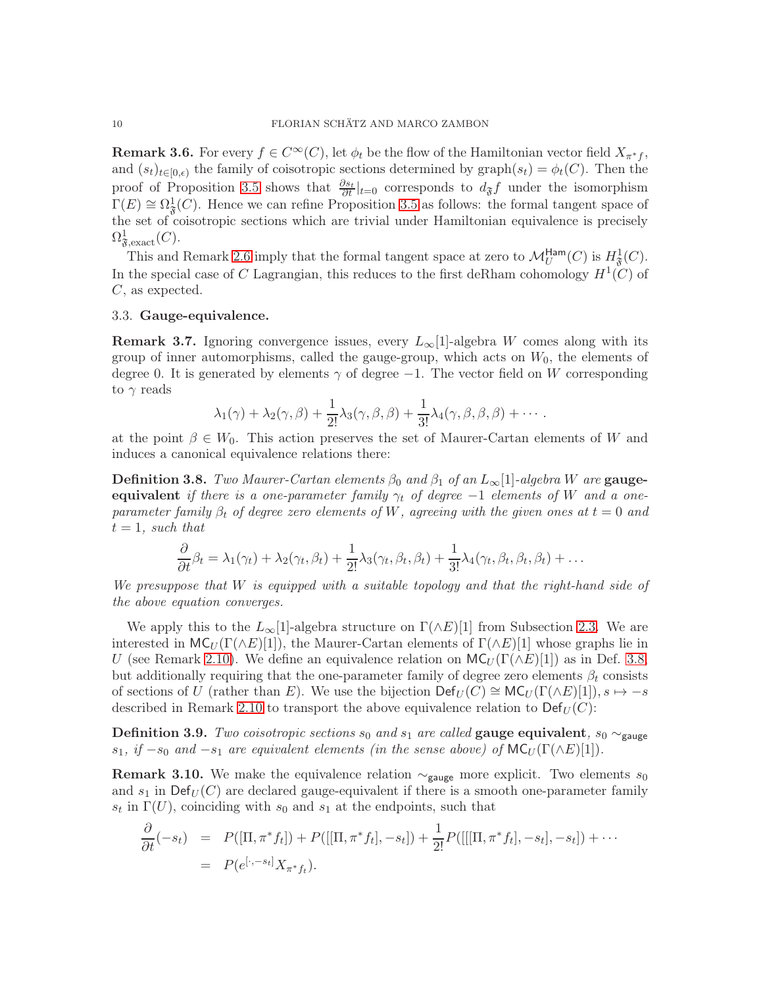<span id="page-9-2"></span>**Remark 3.6.** For every  $f \in C^{\infty}(C)$ , let  $\phi_t$  be the flow of the Hamiltonian vector field  $X_{\pi^*f}$ , and  $(s_t)_{t\in[0,\epsilon)}$  the family of coisotropic sections determined by graph $(s_t) = \phi_t(C)$ . Then the proof of Proposition [3.5](#page-8-0) shows that  $\frac{\partial s_t}{\partial t}|_{t=0}$  corresponds to  $d_{\mathfrak{F}}f$  under the isomorphism  $\Gamma(E) \cong \Omega_{\mathfrak{F}}^1(C)$ . Hence we can refine Proposition [3.5](#page-8-0) as follows: the formal tangent space of the set of coisotropic sections which are trivial under Hamiltonian equivalence is precisely  $\Omega^1_{\mathfrak{F},\text{exact}}(C).$ 

This and Remark [2.6](#page-6-4) imply that the formal tangent space at zero to  $\mathcal{M}_U^{\text{Ham}}(C)$  is  $H^1_{\mathfrak{F}}(C)$ . In the special case of C Lagrangian, this reduces to the first deRham cohomology  $H^1(C)$  of C, as expected.

### <span id="page-9-3"></span>3.3. Gauge-equivalence.

**Remark 3.7.** Ignoring convergence issues, every  $L_{\infty}[1]$ -algebra W comes along with its group of inner automorphisms, called the gauge-group, which acts on  $W_0$ , the elements of degree 0. It is generated by elements  $\gamma$  of degree  $-1$ . The vector field on W corresponding to  $\gamma$  reads

$$
\lambda_1(\gamma) + \lambda_2(\gamma,\beta) + \frac{1}{2!}\lambda_3(\gamma,\beta,\beta) + \frac{1}{3!}\lambda_4(\gamma,\beta,\beta,\beta) + \cdots
$$

at the point  $\beta \in W_0$ . This action preserves the set of Maurer-Cartan elements of W and induces a canonical equivalence relations there:

<span id="page-9-0"></span>**Definition 3.8.** Two Maurer-Cartan elements  $\beta_0$  and  $\beta_1$  of an  $L_\infty[1]$ -algebra W are **gauge**equivalent if there is a one-parameter family  $\gamma_t$  of degree  $-1$  elements of W and a oneparameter family  $\beta_t$  of degree zero elements of W, agreeing with the given ones at  $t = 0$  and  $t = 1$ , such that

$$
\frac{\partial}{\partial t}\beta_t = \lambda_1(\gamma_t) + \lambda_2(\gamma_t, \beta_t) + \frac{1}{2!}\lambda_3(\gamma_t, \beta_t, \beta_t) + \frac{1}{3!}\lambda_4(\gamma_t, \beta_t, \beta_t, \beta_t) + \dots
$$

We presuppose that W is equipped with a suitable topology and that the right-hand side of the above equation converges.

We apply this to the  $L_{\infty}[1]$ -algebra structure on  $\Gamma(\wedge E)[1]$  from Subsection [2.3.](#page-6-0) We are interested in  $MC_U(\Gamma(\wedge E)[1])$ , the Maurer-Cartan elements of  $\Gamma(\wedge E)[1]$  whose graphs lie in U (see Remark [2.10\)](#page-7-3). We define an equivalence relation on  $MC_U(\Gamma(\wedge E)[1])$  as in Def. [3.8,](#page-9-0) but additionally requiring that the one-parameter family of degree zero elements  $\beta_t$  consists of sections of U (rather than E). We use the bijection  $\mathsf{Def}_U(C) \cong \mathsf{MC}_U(\Gamma(\wedge E)[1]), s \mapsto -s$ described in Remark [2.10](#page-7-3) to transport the above equivalence relation to  $\mathsf{Def}_U(C)$ :

<span id="page-9-1"></span>Definition 3.9. Two coisotropic sections  $s_0$  and  $s_1$  are called gauge equivalent,  $s_0 \sim_{\text{gauge}}$ s<sub>1</sub>, if  $-s_0$  and  $-s_1$  are equivalent elements (in the sense above) of  $MC_U(\Gamma(\wedge E)[1])$ .

**Remark 3.10.** We make the equivalence relation  $\sim_{\text{gauge}}$  more explicit. Two elements s<sub>0</sub> and  $s_1$  in  $\text{Def}_U(C)$  are declared gauge-equivalent if there is a smooth one-parameter family  $s_t$  in  $\Gamma(U)$ , coinciding with  $s_0$  and  $s_1$  at the endpoints, such that

$$
\frac{\partial}{\partial t}(-s_t) = P([\Pi, \pi^* f_t]) + P([[ \Pi, \pi^* f_t], -s_t]) + \frac{1}{2!} P([[ \Pi, \pi^* f_t], -s_t], -s_t]) + \cdots \n= P(e^{[\cdot, -s_t]} X_{\pi^* f_t}).
$$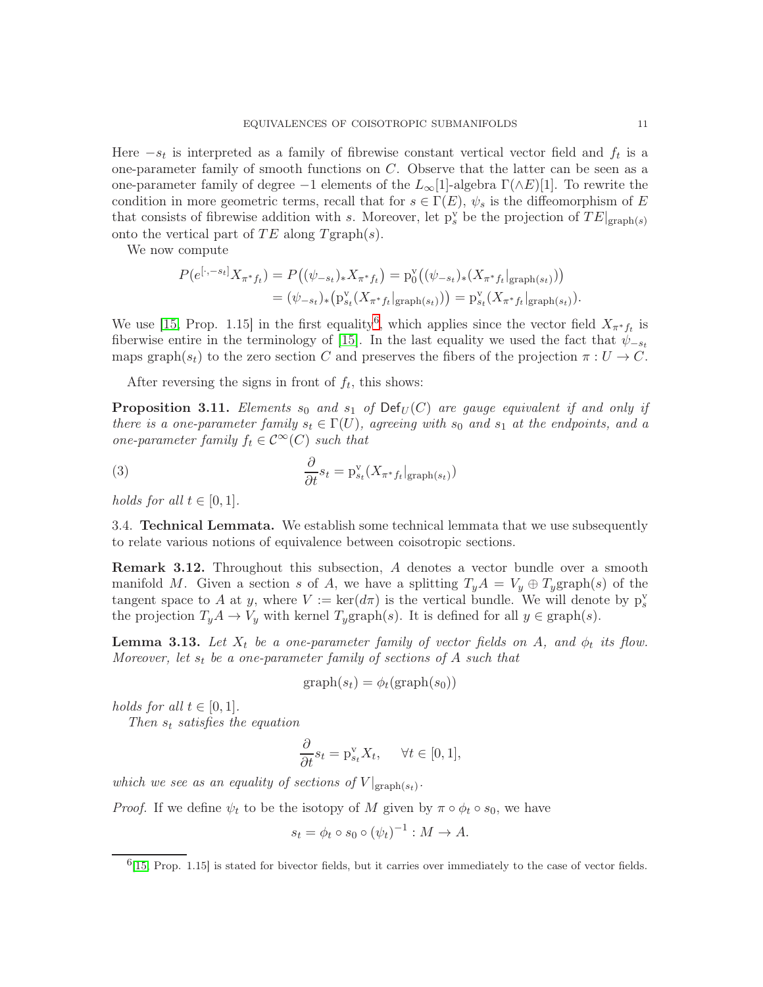Here  $-s_t$  is interpreted as a family of fibrewise constant vertical vector field and  $f_t$  is a one-parameter family of smooth functions on  $C$ . Observe that the latter can be seen as a one-parameter family of degree −1 elements of the  $L_{\infty}[1]$ -algebra  $\Gamma(\wedge E)[1]$ . To rewrite the condition in more geometric terms, recall that for  $s \in \Gamma(E)$ ,  $\psi_s$  is the diffeomorphism of E that consists of fibrewise addition with s. Moreover, let  $p_s^{\rm v}$  be the projection of  $TE|_{\text{graph}(s)}$ onto the vertical part of TE along  $T$ graph $(s)$ .

We now compute

$$
P(e^{[\cdot, -s_t]}X_{\pi^*f_t}) = P((\psi_{-s_t})_*X_{\pi^*f_t}) = p_0^{\mathbf{v}}((\psi_{-s_t})_*(X_{\pi^*f_t}|_{\text{graph}(s_t)}))
$$
  
=  $(\psi_{-s_t})_*(p_{s_t}^{\mathbf{v}}(X_{\pi^*f_t}|_{\text{graph}(s_t)})) = p_{s_t}^{\mathbf{v}}(X_{\pi^*f_t}|_{\text{graph}(s_t)}).$ 

We use [\[15,](#page-28-4) Prop. 1.15] in the first equality<sup>[6](#page-10-1)</sup>, which applies since the vector field  $X_{\pi^*f_t}$  is fiberwise entire in the terminology of [\[15\]](#page-28-4). In the last equality we used the fact that  $\psi_{-s_t}$ maps graph $(s_t)$  to the zero section C and preserves the fibers of the projection  $\pi: U \to C$ .

After reversing the signs in front of  $f_t$ , this shows:

<span id="page-10-2"></span>**Proposition 3.11.** Elements  $s_0$  and  $s_1$  of  $Def_U(C)$  are gauge equivalent if and only if there is a one-parameter family  $s_t \in \Gamma(U)$ , agreeing with  $s_0$  and  $s_1$  at the endpoints, and a one-parameter family  $f_t \in \mathcal{C}^{\infty}(C)$  such that

(3) 
$$
\frac{\partial}{\partial t} s_t = \mathbf{p}_{s_t}^{\mathbf{v}}(X_{\pi^*f_t}|_{\text{graph}(s_t)})
$$

holds for all  $t \in [0,1]$ .

3.4. Technical Lemmata. We establish some technical lemmata that we use subsequently to relate various notions of equivalence between coisotropic sections.

**Remark 3.12.** Throughout this subsection, A denotes a vector bundle over a smooth manifold M. Given a section s of A, we have a splitting  $T_yA = V_y \oplus T_y$ graph $(s)$  of the tangent space to A at y, where  $V := \ker(d\pi)$  is the vertical bundle. We will denote by  $p_s^v$ the projection  $T_yA \to V_y$  with kernel  $T_y$ graph(s). It is defined for all  $y \in \text{graph}(s)$ .

<span id="page-10-0"></span>**Lemma 3.13.** Let  $X_t$  be a one-parameter family of vector fields on A, and  $\phi_t$  its flow. Moreover, let  $s_t$  be a one-parameter family of sections of A such that

$$
graph(s_t) = \phi_t(\text{graph}(s_0))
$$

holds for all  $t \in [0,1]$ .

Then  $s_t$  satisfies the equation

$$
\frac{\partial}{\partial t} s_t = \mathbf{p}_{s_t}^{\mathbf{v}} X_t, \quad \forall t \in [0, 1],
$$

which we see as an equality of sections of  $V|_{\text{graph}(s_t)}$ .

*Proof.* If we define  $\psi_t$  to be the isotopy of M given by  $\pi \circ \phi_t \circ s_0$ , we have

$$
s_t = \phi_t \circ s_0 \circ (\psi_t)^{-1} : M \to A.
$$

<span id="page-10-1"></span> $^{6}$ [\[15,](#page-28-4) Prop. 1.15] is stated for bivector fields, but it carries over immediately to the case of vector fields.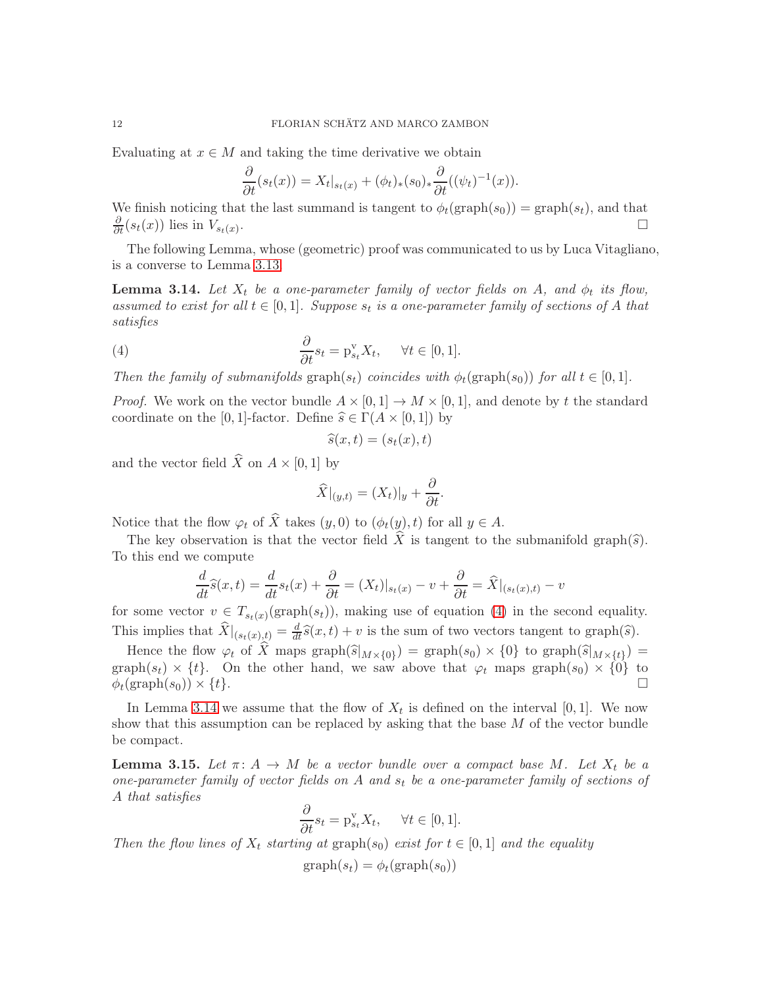Evaluating at  $x \in M$  and taking the time derivative we obtain

$$
\frac{\partial}{\partial t}(s_t(x)) = X_t|_{s_t(x)} + (\phi_t)_*(s_0)_*\frac{\partial}{\partial t}((\psi_t)^{-1}(x)).
$$

We finish noticing that the last summand is tangent to  $\phi_t(\text{graph}(s_0)) = \text{graph}(s_t)$ , and that  $\frac{\partial}{\partial t}(s_t(x))$  lies in  $V_{s_t(x)}$ .

The following Lemma, whose (geometric) proof was communicated to us by Luca Vitagliano, is a converse to Lemma [3.13.](#page-10-0)

<span id="page-11-0"></span>**Lemma 3.14.** Let  $X_t$  be a one-parameter family of vector fields on A, and  $\phi_t$  its flow, assumed to exist for all  $t \in [0,1]$ . Suppose  $s_t$  is a one-parameter family of sections of A that satisfies

(4) 
$$
\frac{\partial}{\partial t} s_t = \mathbf{p}_{s_t}^{\mathbf{v}} X_t, \quad \forall t \in [0, 1].
$$

Then the family of submanifolds graph( $s_t$ ) coincides with  $\phi_t$ (graph( $s_0$ )) for all  $t \in [0, 1]$ .

*Proof.* We work on the vector bundle  $A \times [0,1] \rightarrow M \times [0,1]$ , and denote by t the standard coordinate on the [0, 1]-factor. Define  $\hat{s} \in \Gamma(A \times [0, 1])$  by

<span id="page-11-1"></span>
$$
\widehat{s}(x,t) = (s_t(x),t)
$$

and the vector field  $\widehat{X}$  on  $A \times [0, 1]$  by

$$
\widehat{X}|_{(y,t)} = (X_t)|_y + \frac{\partial}{\partial t}.
$$

Notice that the flow  $\varphi_t$  of  $\widehat{X}$  takes  $(y, 0)$  to  $(\phi_t(y), t)$  for all  $y \in A$ .

The key observation is that the vector field X is tangent to the submanifold graph( $\hat{s}$ ). To this end we compute

$$
\frac{d}{dt}\widehat{s}(x,t) = \frac{d}{dt}s_t(x) + \frac{\partial}{\partial t} = (X_t)|_{s_t(x)} - v + \frac{\partial}{\partial t} = \widehat{X}|_{(s_t(x),t)} - v
$$

for some vector  $v \in T_{s_t(x)}(\text{graph}(s_t))$ , making use of equation [\(4\)](#page-11-1) in the second equality. This implies that  $\widehat{X}|_{(s_t(x),t)} = \frac{d}{dt}\widehat{s}(x,t) + v$  is the sum of two vectors tangent to graph( $\widehat{s}$ ).

Hence the flow  $\varphi_t$  of X maps graph( $\widehat{s}|_{M\times\{0\}}$ ) = graph( $s_0$ )  $\times$  {0} to graph( $\widehat{s}|_{M\times\{t\}}$ ) = graph( $s_t$ ) × {t}. On the other hand, we saw above that  $\varphi_t$  maps graph( $s_0$ ) × {0} to  $\phi_t(\text{graph}(s_0)) \times \{t\}.$ 

In Lemma [3.14](#page-11-0) we assume that the flow of  $X_t$  is defined on the interval [0, 1]. We now show that this assumption can be replaced by asking that the base  $M$  of the vector bundle be compact.

<span id="page-11-2"></span>**Lemma 3.15.** Let  $\pi: A \to M$  be a vector bundle over a compact base M. Let  $X_t$  be a one-parameter family of vector fields on A and  $s_t$  be a one-parameter family of sections of A that satisfies

$$
\frac{\partial}{\partial t} s_t = \mathbf{p}_{s_t}^{\mathbf{v}} X_t, \quad \forall t \in [0, 1].
$$

Then the flow lines of  $X_t$  starting at graph(s<sub>0</sub>) exist for  $t \in [0,1]$  and the equality

$$
graph(s_t) = \phi_t(graph(s_0))
$$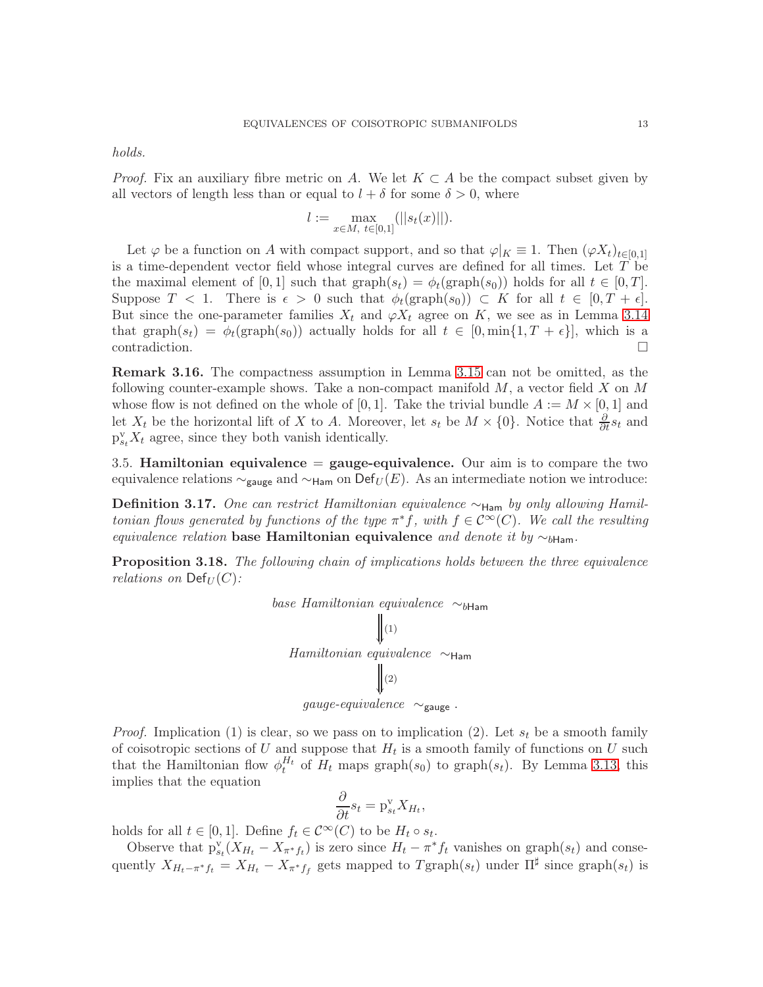holds.

*Proof.* Fix an auxiliary fibre metric on A. We let  $K \subset A$  be the compact subset given by all vectors of length less than or equal to  $l + \delta$  for some  $\delta > 0$ , where

$$
l := \max_{x \in M, t \in [0,1]} (||s_t(x)||).
$$

Let  $\varphi$  be a function on A with compact support, and so that  $\varphi|_K \equiv 1$ . Then  $(\varphi X_t)_{t\in[0,1]}$ is a time-dependent vector field whose integral curves are defined for all times. Let  $T$  be the maximal element of [0, 1] such that  $\text{graph}(s_t) = \phi_t(\text{graph}(s_0))$  holds for all  $t \in [0, T]$ . Suppose  $T < 1$ . There is  $\epsilon > 0$  such that  $\phi_t(\text{graph}(s_0)) \subset K$  for all  $t \in [0, T + \epsilon]$ . But since the one-parameter families  $X_t$  and  $\varphi X_t$  agree on K, we see as in Lemma [3.14](#page-11-0) that graph $(s_t) = \phi_t(\text{graph}(s_0))$  actually holds for all  $t \in [0, \min\{1, T + \epsilon\}]$ , which is a contradiction.

Remark 3.16. The compactness assumption in Lemma [3.15](#page-11-2) can not be omitted, as the following counter-example shows. Take a non-compact manifold  $M$ , a vector field  $X$  on  $M$ whose flow is not defined on the whole of [0, 1]. Take the trivial bundle  $A := M \times [0, 1]$  and let  $X_t$  be the horizontal lift of X to A. Moreover, let  $s_t$  be  $M \times \{0\}$ . Notice that  $\frac{\partial}{\partial t} s_t$  and  $p_{s_t}^v X_t$  agree, since they both vanish identically.

<span id="page-12-0"></span>3.5. Hamiltonian equivalence  $=$  gauge-equivalence. Our aim is to compare the two equivalence relations  $\sim_{\text{gauge}}$  and  $\sim_{\text{Ham}}$  on Def<sub>U</sub>(E). As an intermediate notion we introduce:

<span id="page-12-2"></span>**Definition 3.17.** One can restrict Hamiltonian equivalence  $\sim$ <sub>Ham</sub> by only allowing Hamiltonian flows generated by functions of the type  $\pi^* f$ , with  $f \in C^{\infty}(C)$ . We call the resulting equivalence relation base Hamiltonian equivalence and denote it by  $\sim_{b\text{Ham}}$ .

<span id="page-12-1"></span>**Proposition 3.18.** The following chain of implications holds between the three equivalence relations on  $\mathrm{Def}_{U}(C)$ :



*Proof.* Implication (1) is clear, so we pass on to implication (2). Let  $s_t$  be a smooth family of coisotropic sections of U and suppose that  $H_t$  is a smooth family of functions on U such that the Hamiltonian flow  $\phi_t^{H_t}$  of  $H_t$  maps graph( $s_0$ ) to graph( $s_t$ ). By Lemma [3.13,](#page-10-0) this implies that the equation

$$
\frac{\partial}{\partial t} s_t = \mathbf{p}_{s_t}^{\mathbf{v}} X_{H_t},
$$

holds for all  $t \in [0,1]$ . Define  $f_t \in C^{\infty}(C)$  to be  $H_t \circ s_t$ .

Observe that  $p_{s_t}^{\rm v}(X_{H_t}-X_{\pi^*f_t})$  is zero since  $H_t-\pi^*f_t$  vanishes on graph $(s_t)$  and consequently  $X_{H_t-\pi^*f_t} = X_{H_t} - X_{\pi^*f_t}$  gets mapped to  $T^{\text{graph}}(s_t)$  under  $\Pi^{\sharp}$  since  $\text{graph}(s_t)$  is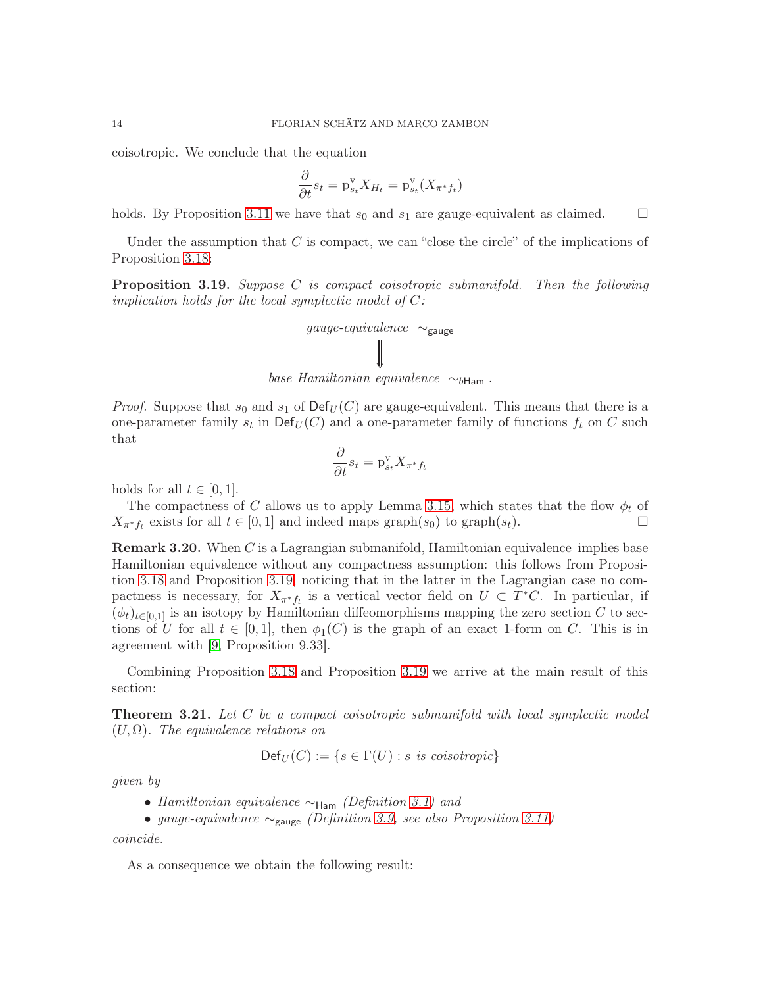coisotropic. We conclude that the equation

$$
\frac{\partial}{\partial t} s_t = \mathbf{p}_{s_t}^{\mathbf{v}} X_{H_t} = \mathbf{p}_{s_t}^{\mathbf{v}} (X_{\pi^* f_t})
$$

holds. By Proposition [3.11](#page-10-2) we have that  $s_0$  and  $s_1$  are gauge-equivalent as claimed.  $\square$ 

Under the assumption that C is compact, we can "close the circle" of the implications of Proposition [3.18:](#page-12-1)

<span id="page-13-1"></span>**Proposition 3.19.** Suppose C is compact coisotropic submanifold. Then the following implication holds for the local symplectic model of  $C$ :

$$
gauge-equivalence \sim_{\text{gauge}}
$$
\n
$$
\parallel
$$
\n
$$
base Hamiltonian equivalence \sim_{b\text{Ham}}.
$$

*Proof.* Suppose that  $s_0$  and  $s_1$  of  $Def_U(C)$  are gauge-equivalent. This means that there is a one-parameter family  $s_t$  in  $\mathsf{Def}_U(C)$  and a one-parameter family of functions  $f_t$  on C such that

$$
\frac{\partial}{\partial t} s_t = \mathbf{p}_{s_t}^{\mathbf{v}} X_{\pi^* f_t}
$$

holds for all  $t \in [0, 1]$ .

The compactness of C allows us to apply Lemma [3.15,](#page-11-2) which states that the flow  $\phi_t$  of  $X_{\pi^*f_t}$  exists for all  $t \in [0,1]$  and indeed maps graph $(s_0)$  to graph $(s_t)$ .

**Remark 3.20.** When C is a Lagrangian submanifold, Hamiltonian equivalence implies base Hamiltonian equivalence without any compactness assumption: this follows from Proposition [3.18](#page-12-1) and Proposition [3.19,](#page-13-1) noticing that in the latter in the Lagrangian case no compactness is necessary, for  $X_{\pi^*f_t}$  is a vertical vector field on  $U \subset T^*C$ . In particular, if  $(\phi_t)_{t\in[0,1]}$  is an isotopy by Hamiltonian diffeomorphisms mapping the zero section C to sections of U for all  $t \in [0,1]$ , then  $\phi_1(C)$  is the graph of an exact 1-form on C. This is in agreement with [\[9,](#page-28-12) Proposition 9.33].

Combining Proposition [3.18](#page-12-1) and Proposition [3.19](#page-13-1) we arrive at the main result of this section:

<span id="page-13-0"></span>**Theorem 3.21.** Let  $C$  be a compact coisotropic submanifold with local symplectic model  $(U, \Omega)$ . The equivalence relations on

$$
\mathsf{Def}_U(C) := \{ s \in \Gamma(U) : s \text{ is } \text{cosotropic} \}
$$

given by

- Hamiltonian equivalence  $\sim_{\text{Ham}}$  (Definition [3.1\)](#page-8-1) and
- gauge-equivalence  $\sim_{\text{gauge}}$  (Definition [3.9,](#page-9-1) see also Proposition [3.11\)](#page-10-2)

coincide.

As a consequence we obtain the following result: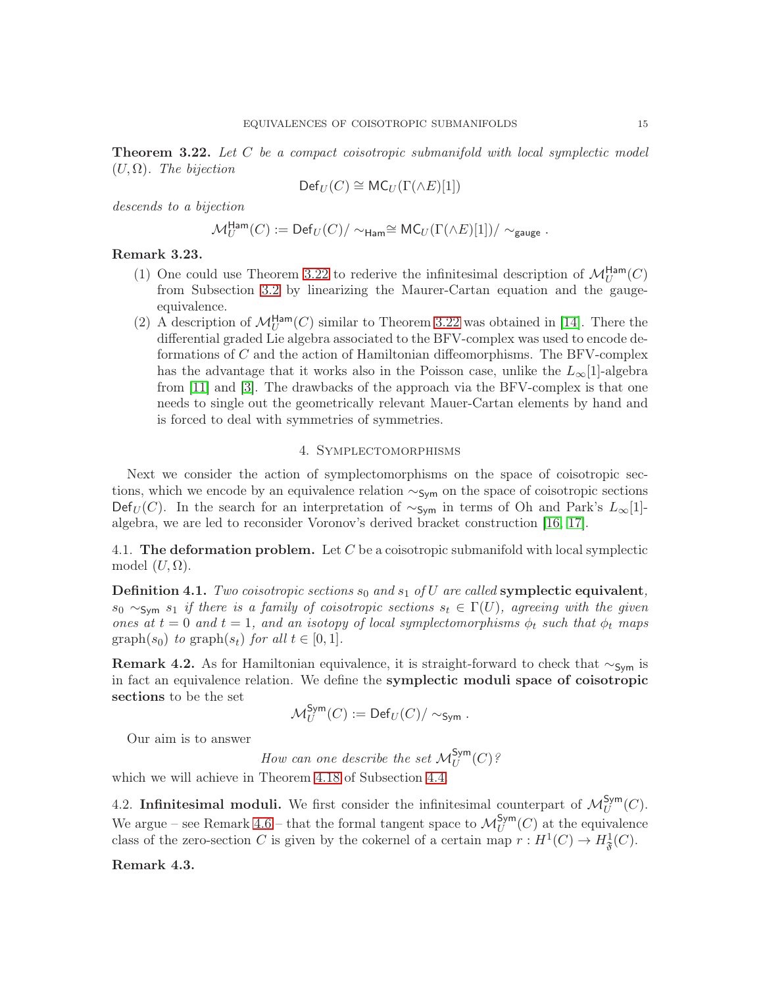<span id="page-14-1"></span>**Theorem 3.22.** Let C be a compact coisotropic submanifold with local symplectic model  $(U,\Omega)$ . The bijection

$$
\mathsf{Def}_U(C) \cong \mathsf{MC}_U(\Gamma(\wedge E)[1])
$$

descends to a bijection

$$
\mathcal{M}_U^{\mathsf{Ham}}(C) := \mathsf{Def}_U(C)/\sim_{\mathsf{Ham}} \cong \mathsf{MC}_U(\Gamma(\wedge E)[1])/\sim_{\mathsf{gauge}}.
$$

# Remark 3.23.

- (1) One could use Theorem [3.22](#page-14-1) to rederive the infinitesimal description of  $\mathcal{M}_U^{\text{Ham}}(C)$ from Subsection [3.2](#page-8-2) by linearizing the Maurer-Cartan equation and the gaugeequivalence.
- (2) A description of  $\mathcal{M}_U^{\text{Ham}}(C)$  similar to Theorem [3.22](#page-14-1) was obtained in [\[14\]](#page-28-5). There the differential graded Lie algebra associated to the BFV-complex was used to encode deformations of C and the action of Hamiltonian diffeomorphisms. The BFV-complex has the advantage that it works also in the Poisson case, unlike the  $L_{\infty}[1]$ -algebra from [\[11\]](#page-28-3) and [\[3\]](#page-28-6). The drawbacks of the approach via the BFV-complex is that one needs to single out the geometrically relevant Mauer-Cartan elements by hand and is forced to deal with symmetries of symmetries.

## 4. Symplectomorphisms

<span id="page-14-0"></span>Next we consider the action of symplectomorphisms on the space of coisotropic sections, which we encode by an equivalence relation  $\sim$ <sub>Sym</sub> on the space of coisotropic sections Def<sub>U</sub>(C). In the search for an interpretation of  $\sim$ <sub>Sym</sub> in terms of Oh and Park's L<sub>∞</sub>[1]algebra, we are led to reconsider Voronov's derived bracket construction [\[16,](#page-29-1) [17\]](#page-29-2).

4.1. The deformation problem. Let  $C$  be a coisotropic submanifold with local symplectic model  $(U,\Omega)$ .

<span id="page-14-2"></span>**Definition 4.1.** Two coisotropic sections  $s_0$  and  $s_1$  of U are called symplectic equivalent,  $s_0 \sim_{\text{Sym}} s_1$  if there is a family of coisotropic sections  $s_t \in \Gamma(U)$ , agreeing with the given ones at  $t = 0$  and  $t = 1$ , and an isotopy of local symplectomorphisms  $\phi_t$  such that  $\phi_t$  maps  $graph(s_0)$  to  $graph(s_t)$  for all  $t \in [0,1]$ .

Remark 4.2. As for Hamiltonian equivalence, it is straight-forward to check that  $\sim$ <sub>Sym</sub> is in fact an equivalence relation. We define the symplectic moduli space of coisotropic sections to be the set

$$
\mathcal{M}_U^{\mathsf{Sym}}(C) := \mathsf{Def}_U(C)/\sim_{\mathsf{Sym}}.
$$

Our aim is to answer

How can one describe the set  $\mathcal{M}_U^{\mathsf{Sym}}(C)$ ?

which we will achieve in Theorem [4.18](#page-20-1) of Subsection [4.4.](#page-19-0)

4.2. Infinitesimal moduli. We first consider the infinitesimal counterpart of  $\mathcal{M}_U^{Sym}(C)$ . We argue – see Remark [4.6](#page-16-0) – that the formal tangent space to  $\mathcal{M}_U^{\mathsf{Sym}}(C)$  at the equivalence class of the zero-section C is given by the cokernel of a certain map  $r: H^1(C) \to H^1_{\mathfrak{F}}(C)$ .

Remark 4.3.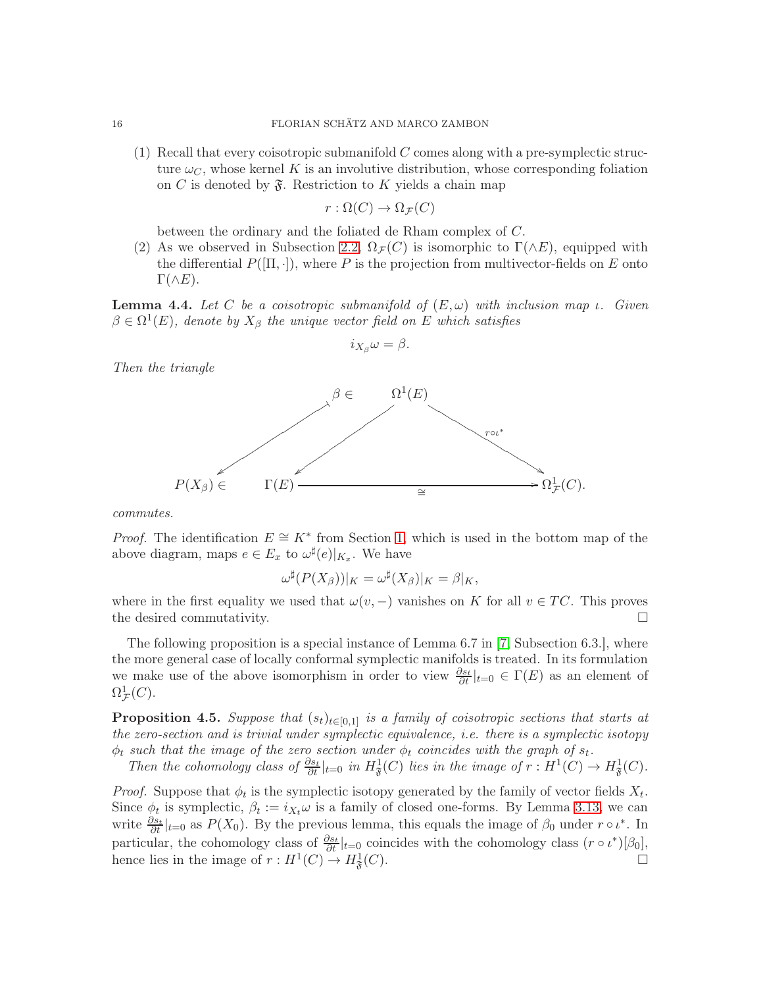(1) Recall that every coisotropic submanifold  $C$  comes along with a pre-symplectic structure  $\omega_C$ , whose kernel K is an involutive distribution, whose corresponding foliation on C is denoted by  $\mathfrak{F}$ . Restriction to K yields a chain map

$$
r:\Omega(C)\to\Omega_{\mathcal{F}}(C)
$$

between the ordinary and the foliated de Rham complex of C.

(2) As we observed in Subsection [2.2,](#page-5-3)  $\Omega_{\mathcal{F}}(C)$  is isomorphic to  $\Gamma(\wedge E)$ , equipped with the differential  $P([\Pi, \cdot])$ , where P is the projection from multivector-fields on E onto  $\Gamma(\wedge E).$ 

**Lemma 4.4.** Let C be a coisotropic submanifold of  $(E, \omega)$  with inclusion map  $\iota$ . Given  $\beta \in \Omega^1(E)$ , denote by  $X_\beta$  the unique vector field on E which satisfies

$$
i_{X_{\beta}}\omega=\beta.
$$

Then the triangle



commutes.

*Proof.* The identification  $E \cong K^*$  from Section [1,](#page-2-0) which is used in the bottom map of the above diagram, maps  $e \in E_x$  to  $\omega^{\sharp}(e)|_{K_x}$ . We have

$$
\omega^{\sharp}(P(X_{\beta}))|_{K} = \omega^{\sharp}(X_{\beta})|_{K} = \beta|_{K},
$$

where in the first equality we used that  $\omega(v, -)$  vanishes on K for all  $v \in TC$ . This proves the desired commutativity.

The following proposition is a special instance of Lemma 6.7 in [\[7,](#page-28-11) Subsection 6.3.], where the more general case of locally conformal symplectic manifolds is treated. In its formulation we make use of the above isomorphism in order to view  $\frac{\partial s_t}{\partial t}|_{t=0} \in \Gamma(E)$  as an element of  $\Omega^1_{\mathcal{F}}(C).$ 

<span id="page-15-0"></span>**Proposition 4.5.** Suppose that  $(s_t)_{t\in[0,1]}$  is a family of coisotropic sections that starts at the zero-section and is trivial under symplectic equivalence, i.e. there is a symplectic isotopy  $\phi_t$  such that the image of the zero section under  $\phi_t$  coincides with the graph of  $s_t$ .

Then the cohomology class of  $\frac{\partial s_t}{\partial t}|_{t=0}$  in  $H^1_{\mathfrak{F}}(C)$  lies in the image of  $r : H^1(C) \to H^1_{\mathfrak{F}}(C)$ .

*Proof.* Suppose that  $\phi_t$  is the symplectic isotopy generated by the family of vector fields  $X_t$ . Since  $\phi_t$  is symplectic,  $\beta_t := i_{X_t} \omega$  is a family of closed one-forms. By Lemma [3.13,](#page-10-0) we can write  $\frac{\partial s_t}{\partial t}|_{t=0}$  as  $P(X_0)$ . By the previous lemma, this equals the image of  $\beta_0$  under  $r \circ \iota^*$ . In particular, the cohomology class of  $\frac{\partial s_t}{\partial t}|_{t=0}$  coincides with the cohomology class  $(r \circ \iota^*)[\beta_0]$ , hence lies in the image of  $r: H^1(C) \to H^1_{\mathfrak{F}}$  $(C).$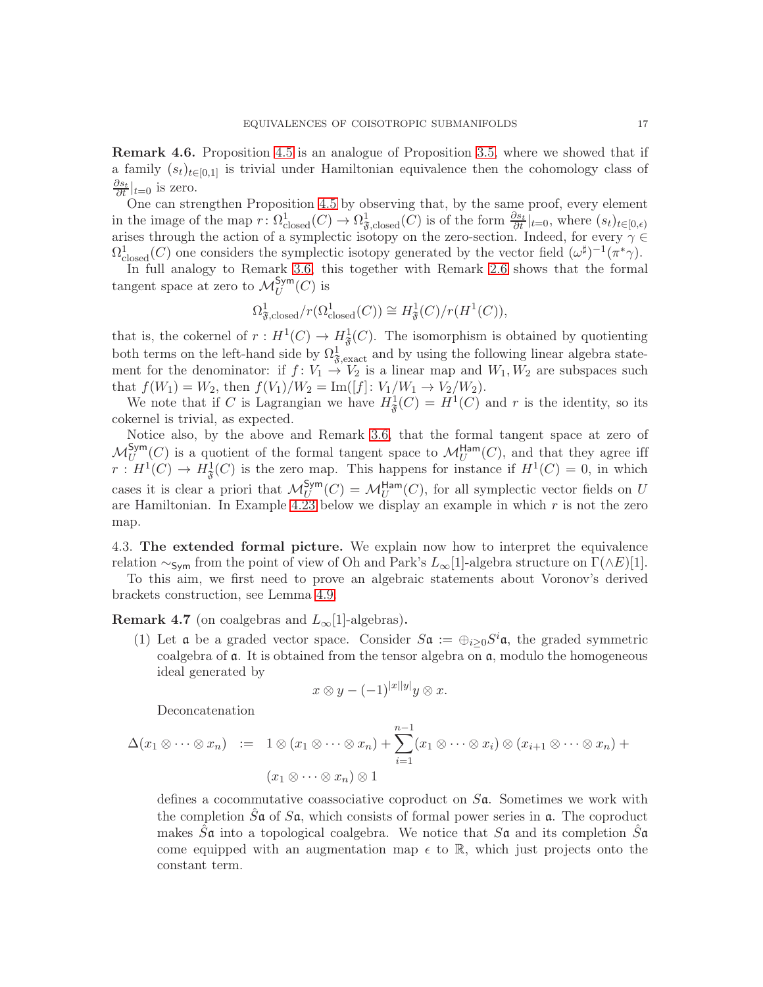<span id="page-16-0"></span>Remark 4.6. Proposition [4.5](#page-15-0) is an analogue of Proposition [3.5,](#page-8-0) where we showed that if a family  $(s_t)_{t\in[0,1]}$  is trivial under Hamiltonian equivalence then the cohomology class of  $\frac{\partial s_t}{\partial t}|_{t=0}$  is zero.

One can strengthen Proposition [4.5](#page-15-0) by observing that, by the same proof, every element in the image of the map  $r: \Omega^1_{\text{closed}}(C) \to \Omega^1_{\mathfrak{F}, \text{closed}}(C)$  is of the form  $\frac{\partial s_t}{\partial t}|_{t=0}$ , where  $(s_t)_{t \in [0,\epsilon)}$ arises through the action of a symplectic isotopy on the zero-section. Indeed, for every  $\gamma \in$  $\Omega^1_{\text{closed}}(C)$  one considers the symplectic isotopy generated by the vector field  $(\omega^{\sharp})^{-1}(\pi^*\gamma)$ .

In full analogy to Remark [3.6,](#page-9-2) this together with Remark [2.6](#page-6-4) shows that the formal tangent space at zero to  $\mathcal{M}_U^{\mathsf{Sym}}(C)$  is

$$
\Omega^1_{\mathfrak{F},\mathrm{closed}}/r(\Omega^1_{\mathrm{closed}}(C)) \cong H^1_{\mathfrak{F}}(C)/r(H^1(C)),
$$

that is, the cokernel of  $r: H^1(C) \to H^1_{\mathfrak{F}}(C)$ . The isomorphism is obtained by quotienting both terms on the left-hand side by  $\Omega_{\mathfrak{F},\text{exact}}^1$  and by using the following linear algebra statement for the denominator: if  $f: V_1 \to V_2$  is a linear map and  $W_1, W_2$  are subspaces such that  $f(W_1) = W_2$ , then  $f(V_1)/W_2 = \text{Im}([f]: V_1/W_1 \to V_2/W_2)$ .

We note that if C is Lagrangian we have  $H^1_{\mathfrak{F}}(C) = H^1(C)$  and r is the identity, so its cokernel is trivial, as expected.

Notice also, by the above and Remark [3.6,](#page-9-2) that the formal tangent space at zero of  $\mathcal{M}_U^{\mathsf{Sym}}(C)$  is a quotient of the formal tangent space to  $\mathcal{M}_U^{\mathsf{Ham}}(C)$ , and that they agree iff  $r: H^1(C) \to H^1_{\mathfrak{F}}(C)$  is the zero map. This happens for instance if  $H^1(C) = 0$ , in which cases it is clear a priori that  $\mathcal{M}_U^{\text{Sym}}(C) = \mathcal{M}_U^{\text{Ham}}(C)$ , for all symplectic vector fields on U are Hamiltonian. In Example [4.23](#page-21-1) below we display an example in which  $r$  is not the zero map.

4.3. The extended formal picture. We explain now how to interpret the equivalence relation ∼<sub>Sym</sub> from the point of view of Oh and Park's  $L_{\infty}[1]$ -algebra structure on  $\Gamma(\wedge E)[1]$ .

To this aim, we first need to prove an algebraic statements about Voronov's derived brackets construction, see Lemma [4.9.](#page-18-0)

**Remark 4.7** (on coalgebras and  $L_{\infty}[1]$ -algebras).

(1) Let **a** be a graded vector space. Consider  $S\mathfrak{a} := \bigoplus_{i \geq 0} S^i \mathfrak{a}$ , the graded symmetric coalgebra of  $a$ . It is obtained from the tensor algebra on  $a$ , modulo the homogeneous ideal generated by

$$
x \otimes y - (-1)^{|x||y|} y \otimes x.
$$

Deconcatenation

$$
\Delta(x_1 \otimes \cdots \otimes x_n) \quad := \quad 1 \otimes (x_1 \otimes \cdots \otimes x_n) + \sum_{i=1}^{n-1} (x_1 \otimes \cdots \otimes x_i) \otimes (x_{i+1} \otimes \cdots \otimes x_n) +
$$

$$
(x_1 \otimes \cdots \otimes x_n) \otimes 1
$$

defines a cocommutative coassociative coproduct on  $S\mathfrak{a}$ . Sometimes we work with the completion  $\tilde{S}a$  of  $S\mathfrak{a}$ , which consists of formal power series in  $\mathfrak{a}$ . The coproduct makes  $\tilde{S}$ **a** into a topological coalgebra. We notice that  $S$ **a** and its completion  $\tilde{S}$ **a** come equipped with an augmentation map  $\epsilon$  to  $\mathbb{R}$ , which just projects onto the constant term.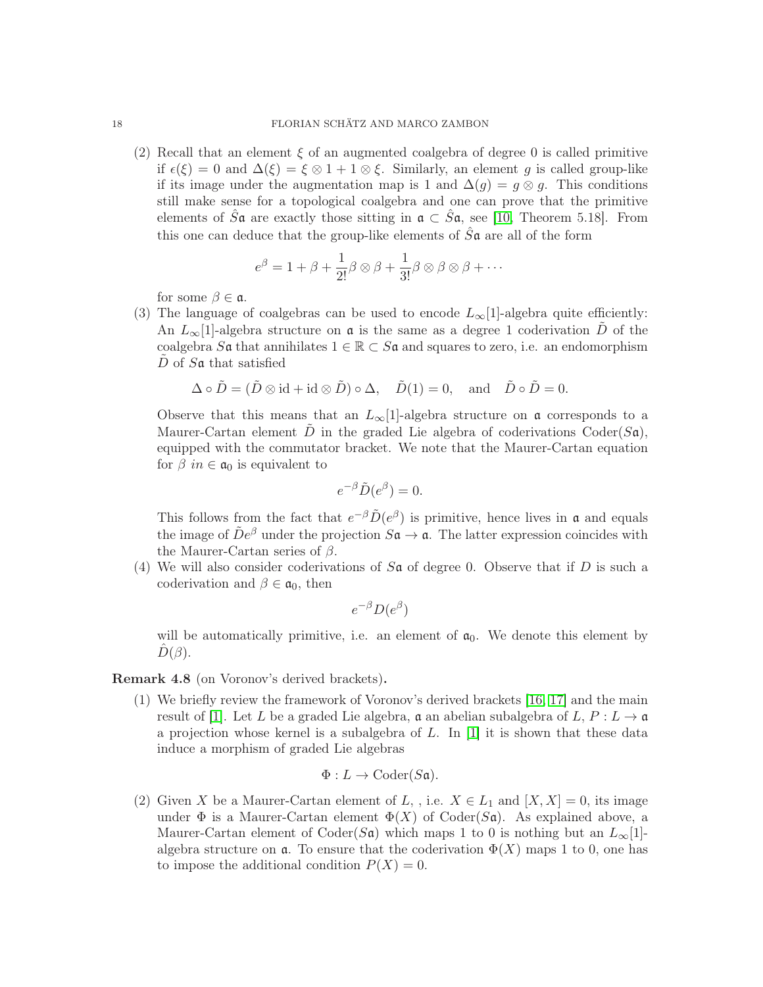(2) Recall that an element  $\xi$  of an augmented coalgebra of degree 0 is called primitive if  $\epsilon(\xi) = 0$  and  $\Delta(\xi) = \xi \otimes 1 + 1 \otimes \xi$ . Similarly, an element g is called group-like if its image under the augmentation map is 1 and  $\Delta(g) = g \otimes g$ . This conditions still make sense for a topological coalgebra and one can prove that the primitive elements of  $\hat{S}a$  are exactly those sitting in  $a \subset \hat{S}a$ , see [\[10,](#page-28-13) Theorem 5.18]. From this one can deduce that the group-like elements of  $\hat{S}a$  are all of the form

$$
e^{\beta} = 1 + \beta + \frac{1}{2!} \beta \otimes \beta + \frac{1}{3!} \beta \otimes \beta \otimes \beta + \cdots
$$

for some  $\beta \in \mathfrak{a}$ .

(3) The language of coalgebras can be used to encode  $L_{\infty}[1]$ -algebra quite efficiently: An  $L_{\infty}[1]$ -algebra structure on  $\mathfrak a$  is the same as a degree 1 coderivation  $\tilde D$  of the coalgebra S**a** that annihilates  $1 \in \mathbb{R} \subset S$ **a** and squares to zero, i.e. an endomorphism  $D$  of  $S\mathfrak{a}$  that satisfied

$$
\Delta \circ \tilde{D} = (\tilde{D} \otimes id + id \otimes \tilde{D}) \circ \Delta, \quad \tilde{D}(1) = 0, \text{ and } \tilde{D} \circ \tilde{D} = 0.
$$

Observe that this means that an  $L_{\infty}[1]$ -algebra structure on  $\mathfrak a$  corresponds to a Maurer-Cartan element  $\tilde{D}$  in the graded Lie algebra of coderivations Coder(Sa), equipped with the commutator bracket. We note that the Maurer-Cartan equation for  $\beta$  in  $\in \mathfrak{a}_0$  is equivalent to

$$
e^{-\beta}\tilde{D}(e^{\beta})=0.
$$

This follows from the fact that  $e^{-\beta} \tilde{D}(e^{\beta})$  is primitive, hence lives in  $\mathfrak{a}$  and equals the image of  $\tilde{D}e^{\beta}$  under the projection  $S\mathfrak{a} \to \mathfrak{a}$ . The latter expression coincides with the Maurer-Cartan series of  $\beta$ .

(4) We will also consider coderivations of  $S\mathfrak{a}$  of degree 0. Observe that if D is such a coderivation and  $\beta \in \mathfrak{a}_0$ , then

$$
e^{-\beta}D(e^{\beta})
$$

will be automatically primitive, i.e. an element of  $a_0$ . We denote this element by  $D(\beta)$ .

<span id="page-17-0"></span>Remark 4.8 (on Voronov's derived brackets).

(1) We briefly review the framework of Voronov's derived brackets [\[16,](#page-29-1) [17\]](#page-29-2) and the main result of [\[1\]](#page-28-14). Let L be a graded Lie algebra,  $\mathfrak{a}$  an abelian subalgebra of L,  $P: L \to \mathfrak{a}$ a projection whose kernel is a subalgebra of  $L$ . In [\[1\]](#page-28-14) it is shown that these data induce a morphism of graded Lie algebras

$$
\Phi: L \to \mathrm{Coder}(S\mathfrak{a}).
$$

(2) Given X be a Maurer-Cartan element of L, , i.e.  $X \in L_1$  and  $[X, X] = 0$ , its image under  $\Phi$  is a Maurer-Cartan element  $\Phi(X)$  of Coder( $S\mathfrak{a}$ ). As explained above, a Maurer-Cartan element of Coder(Sa) which maps 1 to 0 is nothing but an  $L_{\infty}[1]$ algebra structure on  $\alpha$ . To ensure that the coderivation  $\Phi(X)$  maps 1 to 0, one has to impose the additional condition  $P(X) = 0$ .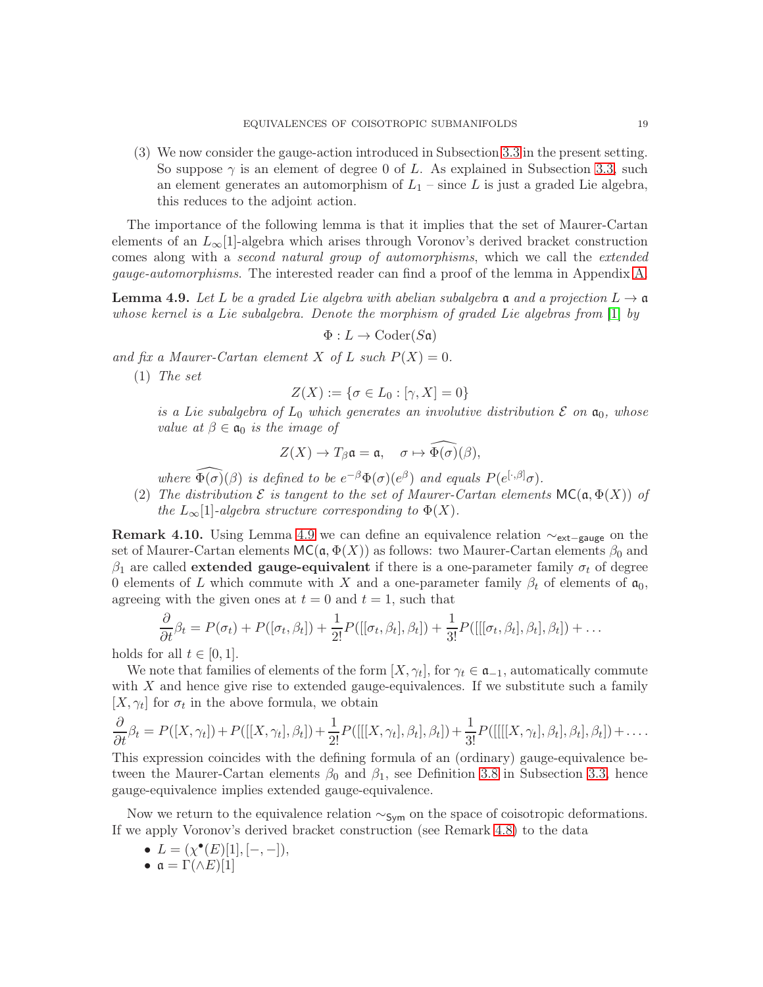(3) We now consider the gauge-action introduced in Subsection [3.3](#page-9-3) in the present setting. So suppose  $\gamma$  is an element of degree 0 of L. As explained in Subsection [3.3,](#page-9-3) such an element generates an automorphism of  $L_1$  – since L is just a graded Lie algebra, this reduces to the adjoint action.

The importance of the following lemma is that it implies that the set of Maurer-Cartan elements of an  $L_{\infty}[1]$ -algebra which arises through Voronov's derived bracket construction comes along with a second natural group of automorphisms, which we call the extended gauge-automorphisms. The interested reader can find a proof of the lemma in Appendix [A.](#page-27-0)

<span id="page-18-0"></span>**Lemma 4.9.** Let L be a graded Lie algebra with abelian subalgebra **a** and a projection  $L \rightarrow \mathfrak{a}$ whose kernel is a Lie subalgebra. Denote the morphism of graded Lie algebras from [\[1\]](#page-28-14) by

$$
\Phi: L \to \mathrm{Coder}(S \mathfrak{a})
$$

and fix a Maurer-Cartan element X of L such  $P(X) = 0$ .

(1) The set

$$
Z(X) := \{ \sigma \in L_0 : [\gamma, X] = 0 \}
$$

is a Lie subalgebra of  $L_0$  which generates an involutive distribution  $\mathcal E$  on  $\mathfrak a_0$ , whose value at  $\beta \in \mathfrak{a}_0$  is the image of

$$
Z(X)\to T_\beta\mathfrak{a}=\mathfrak{a},\quad \sigma\mapsto\widehat{\Phi(\sigma)}(\beta),
$$

where  $\widehat{\Phi(\sigma)}(\beta)$  is defined to be  $e^{-\beta}\Phi(\sigma)(e^{\beta})$  and equals  $P(e^{[\cdot,\beta]}\sigma)$ .

(2) The distribution  $\mathcal E$  is tangent to the set of Maurer-Cartan elements  $MC(a, \Phi(X))$  of the  $L_{\infty}[1]$ -algebra structure corresponding to  $\Phi(X)$ .

**Remark 4.10.** Using Lemma [4.9](#page-18-0) we can define an equivalence relation  $\sim_{\text{ext}-\text{gauge}}$  on the set of Maurer-Cartan elements  $MC(\mathfrak{a}, \Phi(X))$  as follows: two Maurer-Cartan elements  $\beta_0$  and  $\beta_1$  are called **extended gauge-equivalent** if there is a one-parameter family  $\sigma_t$  of degree 0 elements of L which commute with X and a one-parameter family  $\beta_t$  of elements of  $\mathfrak{a}_0$ , agreeing with the given ones at  $t = 0$  and  $t = 1$ , such that

$$
\frac{\partial}{\partial t}\beta_t = P(\sigma_t) + P([\sigma_t, \beta_t]) + \frac{1}{2!}P([[ \sigma_t, \beta_t], \beta_t]) + \frac{1}{3!}P([[ \sigma_t, \beta_t], \beta_t], \beta_t]) + \dots
$$

holds for all  $t \in [0, 1]$ .

We note that families of elements of the form  $[X, \gamma_t]$ , for  $\gamma_t \in \mathfrak{a}_{-1}$ , automatically commute with  $X$  and hence give rise to extended gauge-equivalences. If we substitute such a family  $[X, \gamma_t]$  for  $\sigma_t$  in the above formula, we obtain

$$
\frac{\partial}{\partial t}\beta_t = P([X,\gamma_t]) + P([[X,\gamma_t],\beta_t]) + \frac{1}{2!}P([[[X,\gamma_t],\beta_t],\beta_t]) + \frac{1}{3!}P([[[[X,\gamma_t],\beta_t],\beta_t],\beta_t]) + \dots
$$

This expression coincides with the defining formula of an (ordinary) gauge-equivalence between the Maurer-Cartan elements  $\beta_0$  and  $\beta_1$ , see Definition [3.8](#page-9-0) in Subsection [3.3,](#page-9-3) hence gauge-equivalence implies extended gauge-equivalence.

Now we return to the equivalence relation  $\sim$ <sub>Sym</sub> on the space of coisotropic deformations. If we apply Voronov's derived bracket construction (see Remark [4.8\)](#page-17-0) to the data

- $L = (\chi^{\bullet}(E)[1], [-,-]),$
- $\mathfrak{a} = \Gamma(\wedge E)[1]$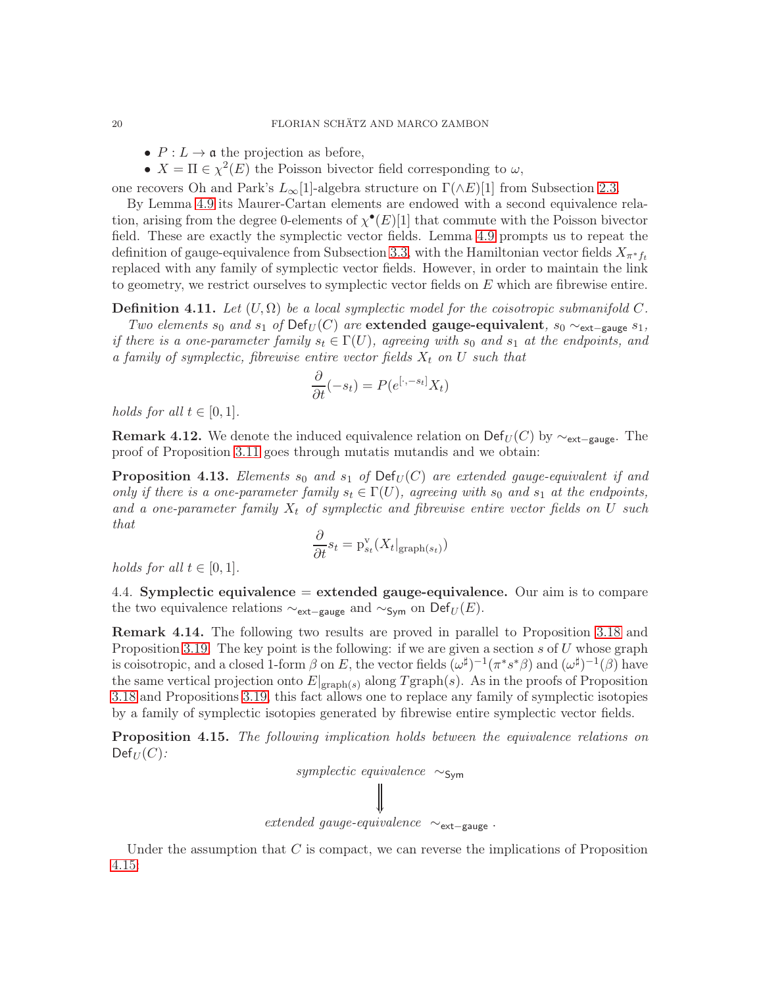- $P: L \to \mathfrak{a}$  the projection as before,
- $X = \Pi \in \chi^2(E)$  the Poisson bivector field corresponding to  $\omega$ ,

one recovers Oh and Park's  $L_{\infty}[1]$ -algebra structure on  $\Gamma(\wedge E)[1]$  from Subsection [2.3.](#page-6-0)

By Lemma [4.9](#page-18-0) its Maurer-Cartan elements are endowed with a second equivalence relation, arising from the degree 0-elements of  $\chi^{\bullet}(E)[1]$  that commute with the Poisson bivector field. These are exactly the symplectic vector fields. Lemma [4.9](#page-18-0) prompts us to repeat the definition of gauge-equivalence from Subsection [3.3,](#page-9-3) with the Hamiltonian vector fields  $X_{\pi^*f_t}$ replaced with any family of symplectic vector fields. However, in order to maintain the link to geometry, we restrict ourselves to symplectic vector fields on  $E$  which are fibrewise entire.

<span id="page-19-2"></span>**Definition 4.11.** Let  $(U, \Omega)$  be a local symplectic model for the coisotropic submanifold C. Two elements s<sub>0</sub> and s<sub>1</sub> of Def<sub>U</sub>(C) are extended gauge-equivalent, s<sub>0</sub>  $\sim$ <sub>ext-gauge</sub> s<sub>1</sub>, if there is a one-parameter family  $s_t \in \Gamma(U)$ , agreeing with  $s_0$  and  $s_1$  at the endpoints, and a family of symplectic, fibrewise entire vector fields  $X_t$  on U such that

$$
\frac{\partial}{\partial t}(-s_t) = P(e^{[\cdot, -s_t]}X_t)
$$

holds for all  $t \in [0,1]$ .

**Remark 4.12.** We denote the induced equivalence relation on Def<sub>U</sub>(C) by  $\sim_{\text{ext}-\text{gauge}}$ . The proof of Proposition [3.11](#page-10-2) goes through mutatis mutandis and we obtain:

<span id="page-19-3"></span>**Proposition 4.13.** Elements  $s_0$  and  $s_1$  of  $Def_U(C)$  are extended gauge-equivalent if and only if there is a one-parameter family  $s_t \in \Gamma(U)$ , agreeing with  $s_0$  and  $s_1$  at the endpoints, and a one-parameter family  $X_t$  of symplectic and fibrewise entire vector fields on U such that

$$
\frac{\partial}{\partial t} s_t = \mathrm{p}_{s_t}^{\mathrm{v}}(X_t|_{\mathrm{graph}(s_t)})
$$

<span id="page-19-0"></span>holds for all  $t \in [0,1]$ .

4.4. Symplectic equivalence = extended gauge-equivalence. Our aim is to compare the two equivalence relations  $\sim_{\text{ext-gauge}}$  and  $\sim_{\text{Sym}}$  on Def<sub>U</sub>(E).

Remark 4.14. The following two results are proved in parallel to Proposition [3.18](#page-12-1) and Proposition [3.19.](#page-13-1) The key point is the following: if we are given a section  $s$  of  $U$  whose graph is coisotropic, and a closed 1-form  $\beta$  on E, the vector fields  $(\omega^{\sharp})^{-1}(\pi^*s^*\beta)$  and  $(\omega^{\sharp})^{-1}(\beta)$  have the same vertical projection onto  $E|_{\text{graph}(s)}$  along  $T_{\text{graph}}(s)$ . As in the proofs of Proposition [3.18](#page-12-1) and Propositions [3.19,](#page-13-1) this fact allows one to replace any family of symplectic isotopies by a family of symplectic isotopies generated by fibrewise entire symplectic vector fields.

<span id="page-19-1"></span>**Proposition 4.15.** The following implication holds between the equivalence relations on  $Def_U(C)$ :



Under the assumption that  $C$  is compact, we can reverse the implications of Proposition [4.15:](#page-19-1)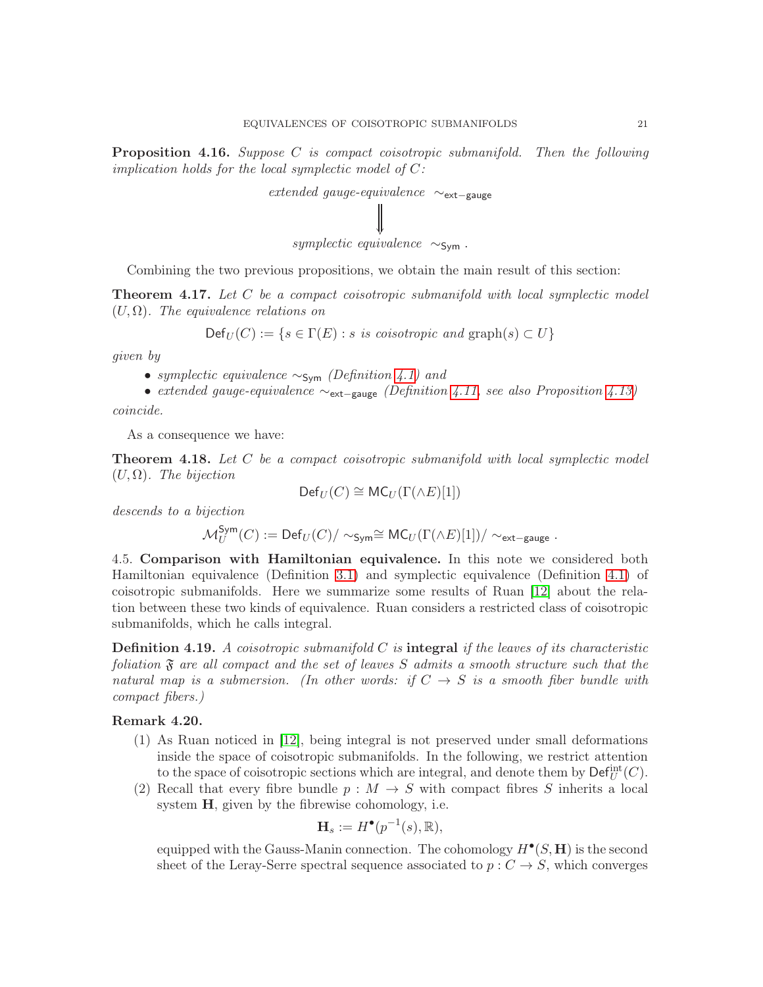**Proposition 4.16.** Suppose C is compact coisotropic submanifold. Then the following implication holds for the local symplectic model of  $C$ :



Combining the two previous propositions, we obtain the main result of this section:

<span id="page-20-0"></span>**Theorem 4.17.** Let  $C$  be a compact coisotropic submanifold with local symplectic model  $(U, \Omega)$ . The equivalence relations on

$$
\mathsf{Def}_U(C) := \{ s \in \Gamma(E) : s \text{ is } \text{cosotropic} \text{ and } \text{graph}(s) \subset U \}
$$

given by

- symplectic equivalence  $\sim$ <sub>Sym</sub> (Definition [4.1\)](#page-14-2) and
- extended gauge-equivalence ∼ext−gauge (Definition [4.11,](#page-19-2) see also Proposition [4.13\)](#page-19-3)

coincide.

As a consequence we have:

<span id="page-20-1"></span>**Theorem 4.18.** Let  $C$  be a compact coisotropic submanifold with local symplectic model  $(U,\Omega)$ . The bijection

$$
\mathsf{Def}_U(C) \cong \mathsf{MC}_U(\Gamma(\wedge E)[1])
$$

descends to a bijection

$$
\mathcal{M}_U^{\mathsf{Sym}}(C) := \mathsf{Def}_U(C)/\sim_{\mathsf{Sym}} \cong \mathsf{MC}_U(\Gamma(\wedge E)[1])/\sim_{\mathsf{ext-gauge}}.
$$

4.5. Comparison with Hamiltonian equivalence. In this note we considered both Hamiltonian equivalence (Definition [3.1\)](#page-8-1) and symplectic equivalence (Definition [4.1\)](#page-14-2) of coisotropic submanifolds. Here we summarize some results of Ruan [\[12\]](#page-28-15) about the relation between these two kinds of equivalence. Ruan considers a restricted class of coisotropic submanifolds, which he calls integral.

**Definition 4.19.** A coisotropic submanifold C is **integral** if the leaves of its characteristic foliation  $\mathfrak F$  are all compact and the set of leaves S admits a smooth structure such that the natural map is a submersion. (In other words: if  $C \rightarrow S$  is a smooth fiber bundle with compact fibers.)

# Remark 4.20.

- (1) As Ruan noticed in [\[12\]](#page-28-15), being integral is not preserved under small deformations inside the space of coisotropic submanifolds. In the following, we restrict attention to the space of coisotropic sections which are integral, and denote them by  $\mathsf{Def}^{\mathrm{int}}_U(C)$ .
- (2) Recall that every fibre bundle  $p : M \to S$  with compact fibres S inherits a local system  $H$ , given by the fibrewise cohomology, i.e.

$$
\mathbf{H}_s := H^\bullet(p^{-1}(s), \mathbb{R}),
$$

equipped with the Gauss-Manin connection. The cohomology  $H^{\bullet}(S, \mathbf{H})$  is the second sheet of the Leray-Serre spectral sequence associated to  $p : C \to S$ , which converges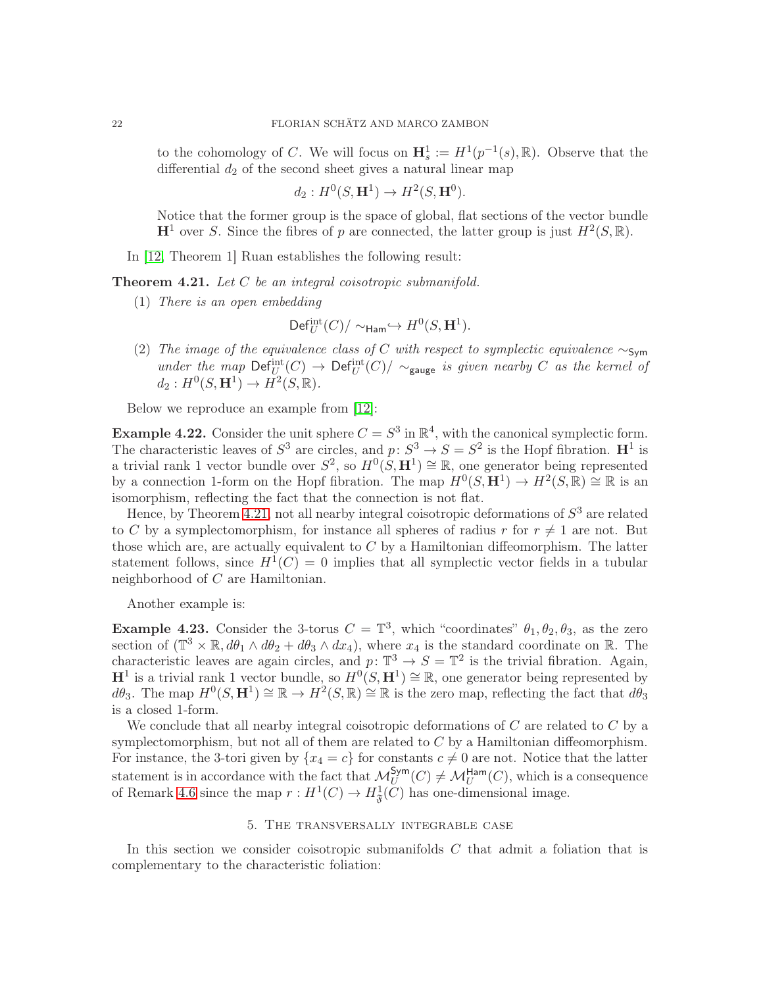to the cohomology of C. We will focus on  $\mathbf{H}_s^1 := H^1(p^{-1}(s), \mathbb{R})$ . Observe that the differential  $d_2$  of the second sheet gives a natural linear map

$$
d_2: H^0(S, \mathbf{H}^1) \to H^2(S, \mathbf{H}^0).
$$

Notice that the former group is the space of global, flat sections of the vector bundle  $\mathbf{H}^1$  over S. Since the fibres of p are connected, the latter group is just  $H^2(S, \mathbb{R})$ .

In [\[12,](#page-28-15) Theorem 1] Ruan establishes the following result:

<span id="page-21-2"></span>**Theorem 4.21.** Let  $C$  be an integral coisotropic submanifold.

(1) There is an open embedding

$$
\mathsf{Def}^{\mathrm{int}}_U(C)/\sim_{\mathsf{Ham}}\hookrightarrow H^0(S,\mathbf{H}^1).
$$

(2) The image of the equivalence class of C with respect to symplectic equivalence  $\sim$ Sym under the map  $\mathsf{Def}_{U}^{\mathrm{int}}(C) \to \mathsf{Def}_{U}^{\mathrm{int}}(C)/\sim_{\text{gauge}}$  is given nearby C as the kernel of  $d_2: H^0(S, \mathbf{H}^1) \to H^2(S, \mathbb{R}).$ 

Below we reproduce an example from [\[12\]](#page-28-15):

**Example 4.22.** Consider the unit sphere  $C = S^3$  in  $\mathbb{R}^4$ , with the canonical symplectic form. The characteristic leaves of  $S^3$  are circles, and  $p: S^3 \to S = S^2$  is the Hopf fibration.  $\mathbb{H}^1$  is a trivial rank 1 vector bundle over  $S^2$ , so  $H^0(S, \mathbf{H}^1) \cong \mathbb{R}$ , one generator being represented by a connection 1-form on the Hopf fibration. The map  $H^0(S, \mathbf{H}^1) \to H^2(S, \mathbb{R}) \cong \mathbb{R}$  is an isomorphism, reflecting the fact that the connection is not flat.

Hence, by Theorem [4.21,](#page-21-2) not all nearby integral coisotropic deformations of  $S<sup>3</sup>$  are related to C by a symplectomorphism, for instance all spheres of radius r for  $r \neq 1$  are not. But those which are, are actually equivalent to  $C$  by a Hamiltonian diffeomorphism. The latter statement follows, since  $H^1(C) = 0$  implies that all symplectic vector fields in a tubular neighborhood of C are Hamiltonian.

Another example is:

<span id="page-21-1"></span>**Example 4.23.** Consider the 3-torus  $C = \mathbb{T}^3$ , which "coordinates"  $\theta_1, \theta_2, \theta_3$ , as the zero section of  $(\mathbb{T}^3 \times \mathbb{R}, d\theta_1 \wedge d\theta_2 + d\theta_3 \wedge dx_4)$ , where  $x_4$  is the standard coordinate on  $\mathbb{R}$ . The characteristic leaves are again circles, and  $p: \mathbb{T}^3 \to S = \mathbb{T}^2$  is the trivial fibration. Again,  $H^1$  is a trivial rank 1 vector bundle, so  $H^0(S, H^1) \cong \mathbb{R}$ , one generator being represented by  $d\theta_3$ . The map  $H^0(S, \mathbf{H}^1) \cong \mathbb{R} \to H^2(S, \mathbb{R}) \cong \mathbb{R}$  is the zero map, reflecting the fact that  $d\theta_3$ is a closed 1-form.

We conclude that all nearby integral coisotropic deformations of  $C$  are related to  $C$  by a symplectomorphism, but not all of them are related to  $C$  by a Hamiltonian diffeomorphism. For instance, the 3-tori given by  $\{x_4 = c\}$  for constants  $c \neq 0$  are not. Notice that the latter statement is in accordance with the fact that  $\mathcal{M}_U^{\mathsf{Sym}}(C) \neq \mathcal{M}_U^{\mathsf{Ham}}(C)$ , which is a consequence of Remark [4.6](#page-16-0) since the map  $r: H^1(C) \to H^1_{\mathfrak{F}}(C)$  has one-dimensional image.

## 5. The transversally integrable case

<span id="page-21-0"></span>In this section we consider coisotropic submanifolds  $C$  that admit a foliation that is complementary to the characteristic foliation: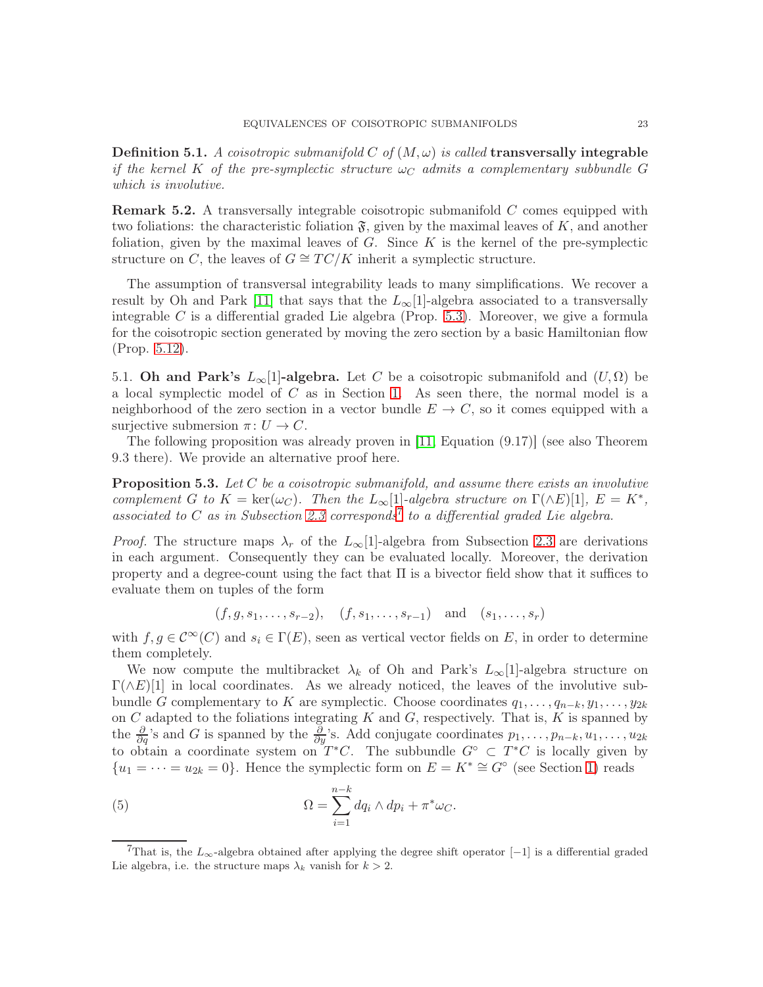Definition 5.1. A coisotropic submanifold C of  $(M, \omega)$  is called transversally integrable if the kernel K of the pre-symplectic structure  $\omega_C$  admits a complementary subbundle G which is involutive.

**Remark 5.2.** A transversally integrable coisotropic submanifold  $C$  comes equipped with two foliations: the characteristic foliation  $\mathfrak{F}$ , given by the maximal leaves of K, and another foliation, given by the maximal leaves of  $G$ . Since  $K$  is the kernel of the pre-symplectic structure on C, the leaves of  $G \cong TC/K$  inherit a symplectic structure.

The assumption of transversal integrability leads to many simplifications. We recover a result by Oh and Park [\[11\]](#page-28-3) that says that the  $L_{\infty}[1]$ -algebra associated to a transversally integrable  $C$  is a differential graded Lie algebra (Prop. [5.3\)](#page-22-0). Moreover, we give a formula for the coisotropic section generated by moving the zero section by a basic Hamiltonian flow (Prop. [5.12\)](#page-26-0).

5.1. Oh and Park's  $L_{\infty}[1]$ -algebra. Let C be a coisotropic submanifold and  $(U,\Omega)$  be a local symplectic model of  $C$  as in Section [1.](#page-2-0) As seen there, the normal model is a neighborhood of the zero section in a vector bundle  $E \to C$ , so it comes equipped with a surjective submersion  $\pi: U \to C$ .

The following proposition was already proven in [\[11,](#page-28-3) Equation (9.17)] (see also Theorem 9.3 there). We provide an alternative proof here.

<span id="page-22-0"></span>**Proposition 5.3.** Let C be a coisotropic submanifold, and assume there exists an involutive complement G to  $K = \text{ker}(\omega_C)$ . Then the  $L_\infty[1]$ -algebra structure on  $\Gamma(\wedge E)[1]$ ,  $E = K^*$ , associated to  $C$  as in Subsection [2.3](#page-6-0) corresponds<sup>[7](#page-22-1)</sup> to a differential graded Lie algebra.

*Proof.* The structure maps  $\lambda_r$  of the  $L_\infty[1]$ -algebra from Subsection [2.3](#page-6-0) are derivations in each argument. Consequently they can be evaluated locally. Moreover, the derivation property and a degree-count using the fact that  $\Pi$  is a bivector field show that it suffices to evaluate them on tuples of the form

$$
(f, g, s_1, \ldots, s_{r-2}), \quad (f, s_1, \ldots, s_{r-1})
$$
 and  $(s_1, \ldots, s_r)$ 

with  $f, g \in C^{\infty}(C)$  and  $s_i \in \Gamma(E)$ , seen as vertical vector fields on E, in order to determine them completely.

We now compute the multibracket  $\lambda_k$  of Oh and Park's  $L_\infty[1]$ -algebra structure on  $\Gamma(\wedge E)[1]$  in local coordinates. As we already noticed, the leaves of the involutive subbundle G complementary to K are symplectic. Choose coordinates  $q_1, \ldots, q_{n-k}, y_1, \ldots, y_{2k}$ on  $C$  adapted to the foliations integrating  $K$  and  $G$ , respectively. That is,  $K$  is spanned by the  $\frac{\partial}{\partial q}$ 's and G is spanned by the  $\frac{\partial}{\partial y}$ 's. Add conjugate coordinates  $p_1, \ldots, p_{n-k}, u_1, \ldots, u_{2k}$ to obtain a coordinate system on  $T^*C$ . The subbundle  $G^{\circ} \subset T^*C$  is locally given by  ${u_1 = \dots = u_{2k} = 0}.$  Hence the symplectic form on  $E = K^* \cong G^{\circ}$  (see Section [1\)](#page-2-0) reads

<span id="page-22-2"></span>(5) 
$$
\Omega = \sum_{i=1}^{n-k} dq_i \wedge dp_i + \pi^* \omega_C.
$$

<span id="page-22-1"></span>That is, the  $L_{\infty}$ -algebra obtained after applying the degree shift operator [−1] is a differential graded Lie algebra, i.e. the structure maps  $\lambda_k$  vanish for  $k > 2$ .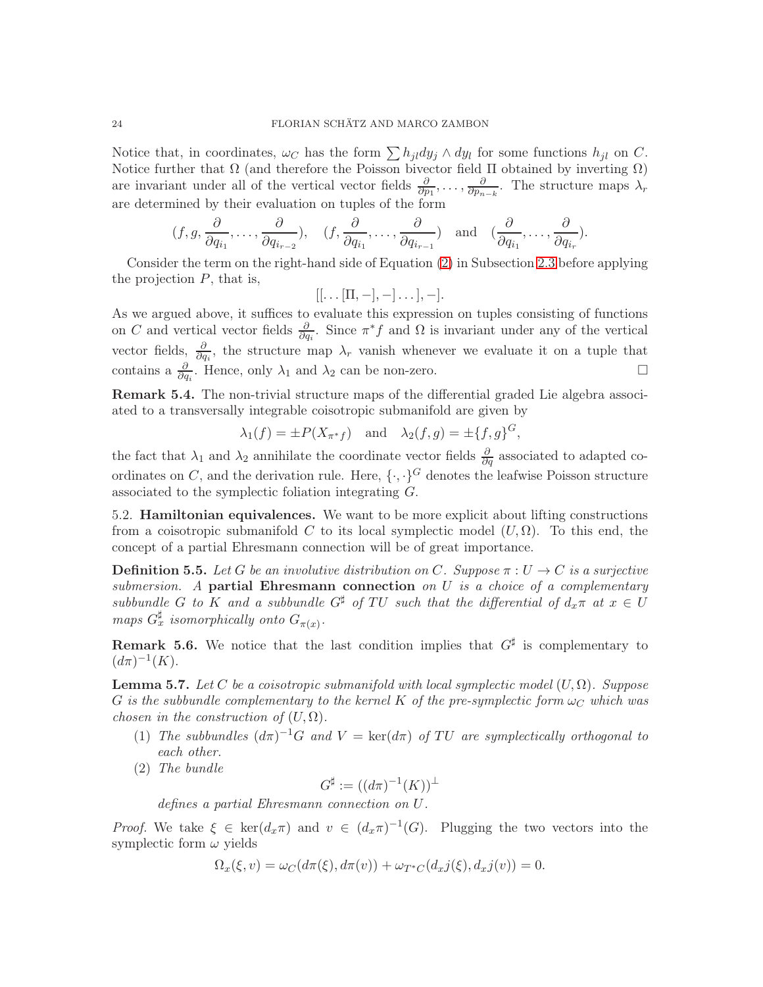Notice that, in coordinates,  $\omega_C$  has the form  $\sum h_{jl}dy_j \wedge dy_l$  for some functions  $h_{jl}$  on C. Notice further that  $\Omega$  (and therefore the Poisson bivector field  $\Pi$  obtained by inverting  $\Omega$ ) are invariant under all of the vertical vector fields  $\frac{\partial}{\partial p_1}, \ldots, \frac{\partial}{\partial p_n}$  $\frac{\partial}{\partial p_{n-k}}$ . The structure maps  $\lambda_r$ are determined by their evaluation on tuples of the form

$$
(f, g, \frac{\partial}{\partial q_{i_1}}, \dots, \frac{\partial}{\partial q_{i_{r-2}}}), \quad (f, \frac{\partial}{\partial q_{i_1}}, \dots, \frac{\partial}{\partial q_{i_{r-1}}}) \text{ and } (\frac{\partial}{\partial q_{i_1}}, \dots, \frac{\partial}{\partial q_{i_r}}).
$$

Consider the term on the right-hand side of Equation [\(2\)](#page-7-4) in Subsection [2.3](#page-6-0) before applying the projection  $P$ , that is,

$$
[[\dots[\Pi,-],-]\dots],-].
$$

As we argued above, it suffices to evaluate this expression on tuples consisting of functions on C and vertical vector fields  $\frac{\partial}{\partial q_i}$ . Since  $\pi^* f$  and  $\Omega$  is invariant under any of the vertical vector fields,  $\frac{\partial}{\partial q_i}$ , the structure map  $\lambda_r$  vanish whenever we evaluate it on a tuple that contains a  $\frac{\partial}{\partial q_i}$ . Hence, only  $\lambda_1$  and  $\lambda_2$  can be non-zero.

Remark 5.4. The non-trivial structure maps of the differential graded Lie algebra associated to a transversally integrable coisotropic submanifold are given by

$$
\lambda_1(f) = \pm P(X_{\pi^*f})
$$
 and  $\lambda_2(f,g) = \pm \{f,g\}^G$ ,

the fact that  $\lambda_1$  and  $\lambda_2$  annihilate the coordinate vector fields  $\frac{\partial}{\partial q}$  associated to adapted coordinates on C, and the derivation rule. Here,  $\{\cdot,\cdot\}^G$  denotes the leafwise Poisson structure associated to the symplectic foliation integrating G.

5.2. Hamiltonian equivalences. We want to be more explicit about lifting constructions from a coisotropic submanifold C to its local symplectic model  $(U, \Omega)$ . To this end, the concept of a partial Ehresmann connection will be of great importance.

**Definition 5.5.** Let G be an involutive distribution on C. Suppose  $\pi: U \to C$  is a surjective submersion. A partial Ehresmann connection on  $U$  is a choice of a complementary subbundle G to K and a subbundle  $G^{\sharp}$  of TU such that the differential of  $d_x\pi$  at  $x \in U$ maps  $G_x^{\sharp}$  isomorphically onto  $G_{\pi(x)}$ .

**Remark 5.6.** We notice that the last condition implies that  $G^{\sharp}$  is complementary to  $(d\pi)^{-1}(K)$ .

**Lemma 5.7.** Let C be a coisotropic submanifold with local symplectic model  $(U, \Omega)$ . Suppose G is the subbundle complementary to the kernel K of the pre-symplectic form  $\omega_C$  which was chosen in the construction of  $(U, \Omega)$ .

- (1) The subbundles  $(d\pi)^{-1}G$  and  $V = \text{ker}(d\pi)$  of TU are symplectically orthogonal to each other.
- (2) The bundle

$$
G^{\sharp} := ((d\pi)^{-1}(K))^{\perp}
$$

defines a partial Ehresmann connection on U.

*Proof.* We take  $\xi \in \text{ker}(d_x \pi)$  and  $v \in (d_x \pi)^{-1}(G)$ . Plugging the two vectors into the symplectic form  $\omega$  yields

$$
\Omega_x(\xi, v) = \omega_C(d\pi(\xi), d\pi(v)) + \omega_{T^*C}(d_x j(\xi), d_x j(v)) = 0.
$$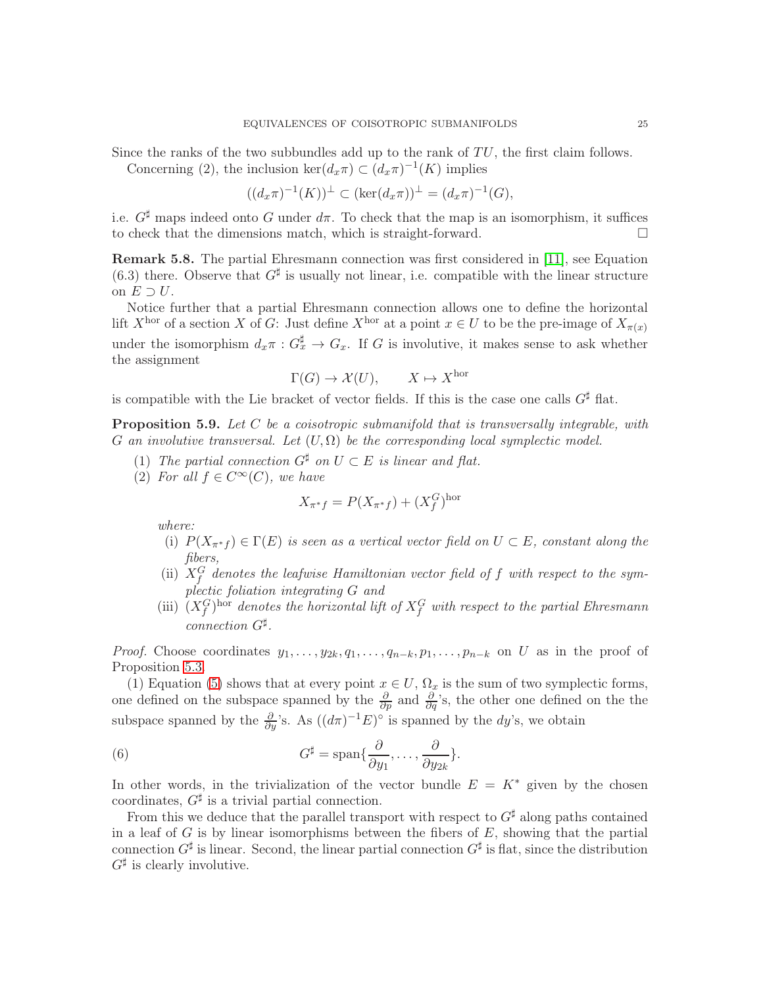Since the ranks of the two subbundles add up to the rank of  $TU$ , the first claim follows. Concerning (2), the inclusion  $\ker(d_x \pi) \subset (d_x \pi)^{-1}(K)$  implies

$$
((d_x \pi)^{-1}(K))^{\perp} \subset (\ker(d_x \pi))^{\perp} = (d_x \pi)^{-1}(G),
$$

i.e.  $G^{\sharp}$  maps indeed onto G under  $d\pi$ . To check that the map is an isomorphism, it suffices to check that the dimensions match, which is straight-forward.

Remark 5.8. The partial Ehresmann connection was first considered in [\[11\]](#page-28-3), see Equation (6.3) there. Observe that  $G^{\sharp}$  is usually not linear, i.e. compatible with the linear structure on  $E \supset U$ .

Notice further that a partial Ehresmann connection allows one to define the horizontal lift X<sup>hor</sup> of a section X of G: Just define X<sup>hor</sup> at a point  $x \in U$  to be the pre-image of  $X_{\pi(x)}$ under the isomorphism  $d_x \pi : G_x^{\sharp} \to G_x$ . If G is involutive, it makes sense to ask whether the assignment

$$
\Gamma(G) \to \mathcal{X}(U), \qquad X \mapsto X^{\text{hor}}
$$

is compatible with the Lie bracket of vector fields. If this is the case one calls  $G^{\sharp}$  flat.

<span id="page-24-1"></span>**Proposition 5.9.** Let  $C$  be a coisotropic submanifold that is transversally integrable, with G an involutive transversal. Let  $(U, \Omega)$  be the corresponding local symplectic model.

- (1) The partial connection  $G^{\sharp}$  on  $U \subset E$  is linear and flat.
- (2) For all  $f \in C^{\infty}(C)$ , we have

$$
X_{\pi^*f} = P(X_{\pi^*f}) + (X_f^G)^{\text{hor}}
$$

where:

- (i)  $P(X_{\pi^*f}) \in \Gamma(E)$  is seen as a vertical vector field on  $U \subset E$ , constant along the fibers,
- (ii)  $X_f^G$  denotes the leafwise Hamiltonian vector field of f with respect to the symplectic foliation integrating G and
- (iii)  $(X_f^G)$ <sup>hor</sup> denotes the horizontal lift of  $X_f^G$  with respect to the partial Ehresmann connection G<sup>♯</sup> .

*Proof.* Choose coordinates  $y_1, \ldots, y_{2k}, q_1, \ldots, q_{n-k}, p_1, \ldots, p_{n-k}$  on U as in the proof of Proposition [5.3.](#page-22-0)

(1) Equation [\(5\)](#page-22-2) shows that at every point  $x \in U$ ,  $\Omega_x$  is the sum of two symplectic forms, one defined on the subspace spanned by the  $\frac{\partial}{\partial p}$  and  $\frac{\partial}{\partial q}$ 's, the other one defined on the the subspace spanned by the  $\frac{\partial}{\partial y}$ 's. As  $((d\pi)^{-1}E)^{\circ}$  is spanned by the dy's, we obtain

<span id="page-24-0"></span>(6) 
$$
G^{\sharp} = \text{span}\{\frac{\partial}{\partial y_1}, \dots, \frac{\partial}{\partial y_{2k}}\}.
$$

In other words, in the trivialization of the vector bundle  $E = K^*$  given by the chosen coordinates,  $G^{\sharp}$  is a trivial partial connection.

From this we deduce that the parallel transport with respect to  $G^{\sharp}$  along paths contained in a leaf of  $G$  is by linear isomorphisms between the fibers of  $E$ , showing that the partial connection  $G^{\sharp}$  is linear. Second, the linear partial connection  $G^{\sharp}$  is flat, since the distribution  $G^{\sharp}$  is clearly involutive.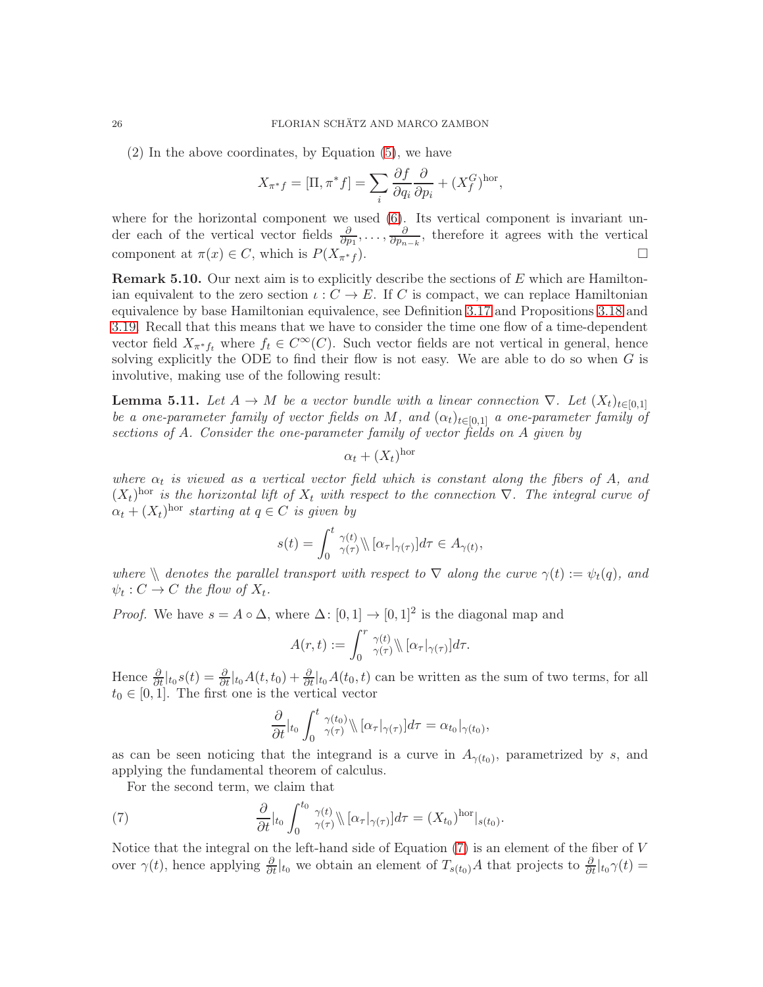(2) In the above coordinates, by Equation [\(5\)](#page-22-2), we have

$$
X_{\pi^*f} = [\Pi, \pi^*f] = \sum_i \frac{\partial f}{\partial q_i} \frac{\partial}{\partial p_i} + (X_f^G)^{\text{hor}},
$$

where for the horizontal component we used  $(6)$ . Its vertical component is invariant under each of the vertical vector fields  $\frac{\partial}{\partial p_1}, \ldots, \frac{\partial}{\partial p_n}$  $\frac{\partial}{\partial p_{n-k}}$ , therefore it agrees with the vertical component at  $\pi(x) \in C$ , which is  $P(X_{\pi^*f}^{\{r\}})$ .

**Remark 5.10.** Our next aim is to explicitly describe the sections of  $E$  which are Hamiltonian equivalent to the zero section  $\iota: C \to E$ . If C is compact, we can replace Hamiltonian equivalence by base Hamiltonian equivalence, see Definition [3.17](#page-12-2) and Propositions [3.18](#page-12-1) and [3.19.](#page-13-1) Recall that this means that we have to consider the time one flow of a time-dependent vector field  $X_{\pi^*f_t}$  where  $f_t \in C^{\infty}(C)$ . Such vector fields are not vertical in general, hence solving explicitly the ODE to find their flow is not easy. We are able to do so when  $G$  is involutive, making use of the following result:

<span id="page-25-1"></span>**Lemma 5.11.** Let  $A \to M$  be a vector bundle with a linear connection  $\nabla$ . Let  $(X_t)_{t\in[0,1]}$ be a one-parameter family of vector fields on M, and  $(\alpha_t)_{t\in[0,1]}$  a one-parameter family of sections of A. Consider the one-parameter family of vector fields on A given by

$$
\alpha_t + (X_t)^{\text{hor}}
$$

where  $\alpha_t$  is viewed as a vertical vector field which is constant along the fibers of A, and  $(X_t)$ <sup>hor</sup> is the horizontal lift of  $X_t$  with respect to the connection  $\nabla$ . The integral curve of  $\alpha_t + (X_t)^{\text{hor}}$  starting at  $q \in C$  is given by

$$
s(t) = \int_0^t \gamma(t) \sqrt{\alpha \tau |\gamma(\tau)|} d\tau \in A_{\gamma(t)},
$$

where  $\setminus$  denotes the parallel transport with respect to  $\nabla$  along the curve  $\gamma(t) := \psi_t(q)$ , and  $\psi_t: C \to C$  the flow of  $X_t$ .

*Proof.* We have  $s = A \circ \Delta$ , where  $\Delta : [0,1] \to [0,1]^2$  is the diagonal map and

$$
A(r,t) := \int_0^r \frac{\gamma(t)}{\gamma(\tau)} \mathcal{E}[\alpha_\tau|_{\gamma(\tau)}] d\tau.
$$

Hence  $\frac{\partial}{\partial t}|_{t_0} s(t) = \frac{\partial}{\partial t}|_{t_0} A(t, t_0) + \frac{\partial}{\partial t}|_{t_0} A(t_0, t)$  can be written as the sum of two terms, for all  $t_0 \in [0, 1]$ . The first one is the vertical vector

<span id="page-25-0"></span>
$$
\frac{\partial}{\partial t}\Big|_{t_0}\int_0^t \frac{\gamma(t_0)}{\gamma(\tau)}\Big\|\Big[\alpha_\tau\big|_{\gamma(\tau)}\Big]d\tau=\alpha_{t_0}\big|_{\gamma(t_0)},
$$

as can be seen noticing that the integrand is a curve in  $A_{\gamma(t_0)}$ , parametrized by s, and applying the fundamental theorem of calculus.

For the second term, we claim that

(7) 
$$
\frac{\partial}{\partial t}|_{t_0} \int_0^{t_0} \gamma(t) \mathbb{I}(\alpha_\tau|_{\gamma(\tau)}) d\tau = (X_{t_0})^{\text{hor}}|_{s(t_0)}.
$$

Notice that the integral on the left-hand side of Equation  $(7)$  is an element of the fiber of V over  $\gamma(t)$ , hence applying  $\frac{\partial}{\partial t}|_{t_0}$  we obtain an element of  $T_{s(t_0)}A$  that projects to  $\frac{\partial}{\partial t}|_{t_0}\gamma(t)=$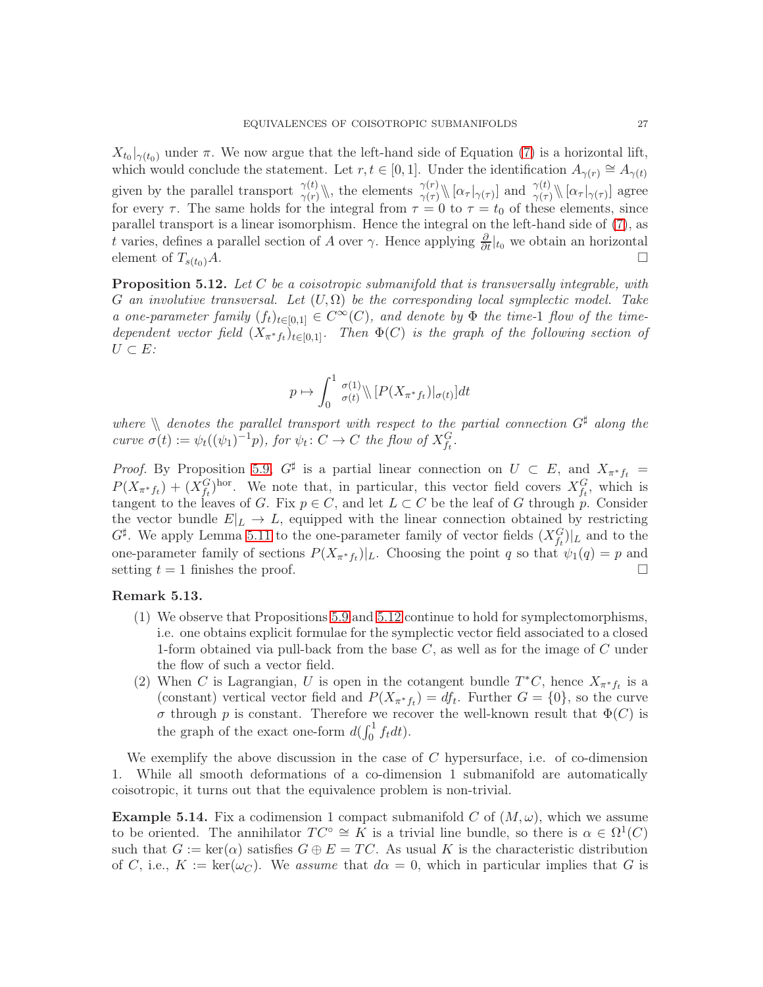$X_{t_0}|_{\gamma(t_0)}$  under  $\pi$ . We now argue that the left-hand side of Equation [\(7\)](#page-25-0) is a horizontal lift, which would conclude the statement. Let  $r, t \in [0, 1]$ . Under the identification  $A_{\gamma(r)} \cong A_{\gamma(t)}$ given by the parallel transport  $\gamma(t)$ , the elements  $\gamma(\tau)$ ,  $[\alpha_{\tau}|_{\gamma(\tau)}]$  and  $\gamma(t)$ ,  $[\alpha_{\tau}|_{\gamma(\tau)}]$  agree for every  $\tau$ . The same holds for the integral from  $\tau = 0$  to  $\tau = t_0$  of these elements, since parallel transport is a linear isomorphism. Hence the integral on the left-hand side of [\(7\)](#page-25-0), as t varies, defines a parallel section of A over  $\gamma$ . Hence applying  $\frac{\partial}{\partial t}|_{t_0}$  we obtain an horizontal element of  $T_{s(t_0)}A$ .

<span id="page-26-0"></span>Proposition 5.12. Let C be a coisotropic submanifold that is transversally integrable, with G an involutive transversal. Let  $(U, \Omega)$  be the corresponding local symplectic model. Take a one-parameter family  $(f_t)_{t\in[0,1]} \in C^{\infty}(C)$ , and denote by  $\Phi$  the time-1 flow of the timedependent vector field  $(X_{\pi^*f_t})_{t\in[0,1]}$ . Then  $\Phi(C)$  is the graph of the following section of  $U \subset E$ :

$$
p \mapsto \int_0^1 \frac{\sigma(1)}{\sigma(t)} \langle [P(X_{\pi^*f_t})|_{\sigma(t)}]dt
$$

where  $\Lambda$  denotes the parallel transport with respect to the partial connection  $G^{\sharp}$  along the curve  $\sigma(t) := \psi_t((\psi_1)^{-1}p)$ , for  $\psi_t : C \to C$  the flow of  $X_{f_t}^G$ .

*Proof.* By Proposition [5.9,](#page-24-1)  $G^{\sharp}$  is a partial linear connection on  $U \subset E$ , and  $X_{\pi^* f_t} =$  $P(X_{\pi^*f_t}) + (X_{f_t}^G)$ <sup>hor</sup>. We note that, in particular, this vector field covers  $X_{f_t}^G$ , which is tangent to the leaves of G. Fix  $p \in C$ , and let  $L \subset C$  be the leaf of G through p. Consider the vector bundle  $E|_L \to L$ , equipped with the linear connection obtained by restricting  $G^{\sharp}$ . We apply Lemma [5.11](#page-25-1) to the one-parameter family of vector fields  $(X_{f_t}^G)|_L$  and to the one-parameter family of sections  $P(X_{\pi^*f_t})|_L$ . Choosing the point q so that  $\psi_1(q) = p$  and setting  $t = 1$  finishes the proof.

# Remark 5.13.

- (1) We observe that Propositions [5.9](#page-24-1) and [5.12](#page-26-0) continue to hold for symplectomorphisms, i.e. one obtains explicit formulae for the symplectic vector field associated to a closed 1-form obtained via pull-back from the base  $C$ , as well as for the image of  $C$  under the flow of such a vector field.
- (2) When C is Lagrangian, U is open in the cotangent bundle  $T^*C$ , hence  $X_{\pi^*f_t}$  is a (constant) vertical vector field and  $P(X_{\pi^*f_t}) = df_t$ . Further  $G = \{0\}$ , so the curve σ through p is constant. Therefore we recover the well-known result that Φ(C) is the graph of the exact one-form  $d(\int_0^1 f_t dt)$ .

We exemplify the above discussion in the case of  $C$  hypersurface, i.e. of co-dimension 1. While all smooth deformations of a co-dimension 1 submanifold are automatically coisotropic, it turns out that the equivalence problem is non-trivial.

**Example 5.14.** Fix a codimension 1 compact submanifold C of  $(M, \omega)$ , which we assume to be oriented. The annihilator  $TC^{\circ} \cong K$  is a trivial line bundle, so there is  $\alpha \in \Omega^1(C)$ such that  $G := \text{ker}(\alpha)$  satisfies  $G \oplus E = TC$ . As usual K is the characteristic distribution of C, i.e.,  $K := \text{ker}(\omega_C)$ . We assume that  $d\alpha = 0$ , which in particular implies that G is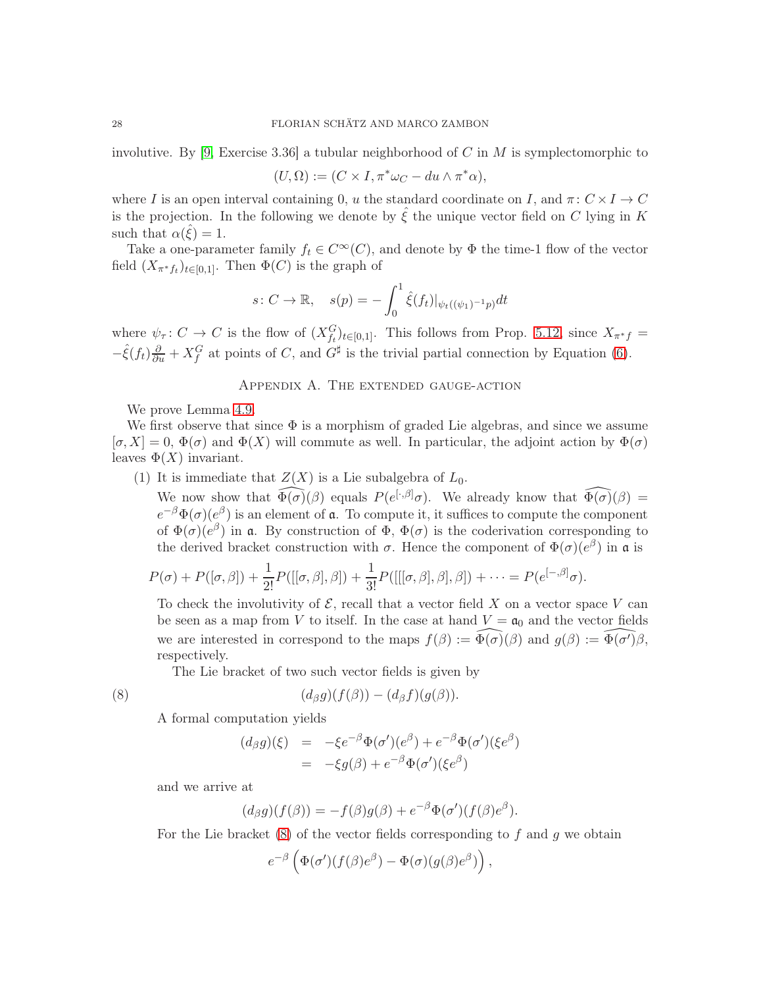involutive. By [\[9,](#page-28-12) Exercise 3.36] a tubular neighborhood of C in M is symplectomorphic to

$$
(U,\Omega) := (C \times I, \pi^* \omega_C - du \wedge \pi^* \alpha),
$$

where I is an open interval containing 0, u the standard coordinate on I, and  $\pi: C \times I \to C$ is the projection. In the following we denote by  $\hat{\xi}$  the unique vector field on C lying in K such that  $\alpha(\hat{\xi}) = 1$ .

Take a one-parameter family  $f_t \in C^{\infty}(C)$ , and denote by  $\Phi$  the time-1 flow of the vector field  $(X_{\pi^* f_t})_{t \in [0,1]}$ . Then  $\Phi(C)$  is the graph of

$$
s: C \to \mathbb{R}, \quad s(p) = -\int_0^1 \hat{\xi}(f_t)|_{\psi_t((\psi_1)^{-1}p)} dt
$$

<span id="page-27-0"></span>where  $\psi_{\tau}$ :  $C \to C$  is the flow of  $(X_{f_t}^G)_{t \in [0,1]}$ . This follows from Prop. [5.12,](#page-26-0) since  $X_{\pi^*f}$  =  $-\hat{\xi}(f_t)\frac{\partial}{\partial u} + X_f^G$  at points of C, and  $G^{\sharp}$  is the trivial partial connection by Equation [\(6\)](#page-24-0).

## Appendix A. The extended gauge-action

We prove Lemma [4.9.](#page-18-0)

We first observe that since  $\Phi$  is a morphism of graded Lie algebras, and since we assume  $[\sigma, X] = 0$ ,  $\Phi(\sigma)$  and  $\Phi(X)$  will commute as well. In particular, the adjoint action by  $\Phi(\sigma)$ leaves  $\Phi(X)$  invariant.

(1) It is immediate that  $Z(X)$  is a Lie subalgebra of  $L_0$ .

We now show that  $\widehat{\Phi(\sigma)}(\beta)$  equals  $P(e^{[\cdot,\beta]}\sigma)$ . We already know that  $\widehat{\Phi(\sigma)}(\beta)$  =  $e^{-\beta} \Phi(\sigma) (e^{\beta})$  is an element of **a**. To compute it, it suffices to compute the component of  $\Phi(\sigma)(e^{\beta})$  in **a**. By construction of  $\Phi$ ,  $\Phi(\sigma)$  is the coderivation corresponding to the derived bracket construction with  $\sigma$ . Hence the component of  $\Phi(\sigma)(e^{\beta})$  in a is

$$
P(\sigma)+P([\sigma,\beta])+\frac{1}{2!}P([[ \sigma,\beta],\beta])+\frac{1}{3!}P([[ [\sigma,\beta],\beta],\beta])+\cdots=P(e^{[-,\beta]}\sigma).
$$

To check the involutivity of  $\mathcal{E}$ , recall that a vector field X on a vector space V can be seen as a map from V to itself. In the case at hand  $V = \mathfrak{a}_0$  and the vector fields we are interested in correspond to the maps  $f(\beta) := \widehat{\Phi(\sigma)}(\beta)$  and  $g(\beta) := \widehat{\Phi(\sigma')\beta}$ , respectively.

The Lie bracket of two such vector fields is given by

(8) 
$$
(d_{\beta}g)(f(\beta)) - (d_{\beta}f)(g(\beta)).
$$

A formal computation yields

<span id="page-27-1"></span>
$$
\begin{array}{rcl}\n(d_{\beta}g)(\xi) & = & -\xi e^{-\beta} \Phi(\sigma')(e^{\beta}) + e^{-\beta} \Phi(\sigma')( \xi e^{\beta}) \\
& = & -\xi g(\beta) + e^{-\beta} \Phi(\sigma')( \xi e^{\beta})\n\end{array}
$$

and we arrive at

$$
(d_{\beta}g)(f(\beta)) = -f(\beta)g(\beta) + e^{-\beta}\Phi(\sigma')(f(\beta)e^{\beta}).
$$

For the Lie bracket  $(8)$  of the vector fields corresponding to f and g we obtain

$$
e^{-\beta} \left( \Phi(\sigma') (f(\beta) e^{\beta}) - \Phi(\sigma) (g(\beta) e^{\beta}) \right),
$$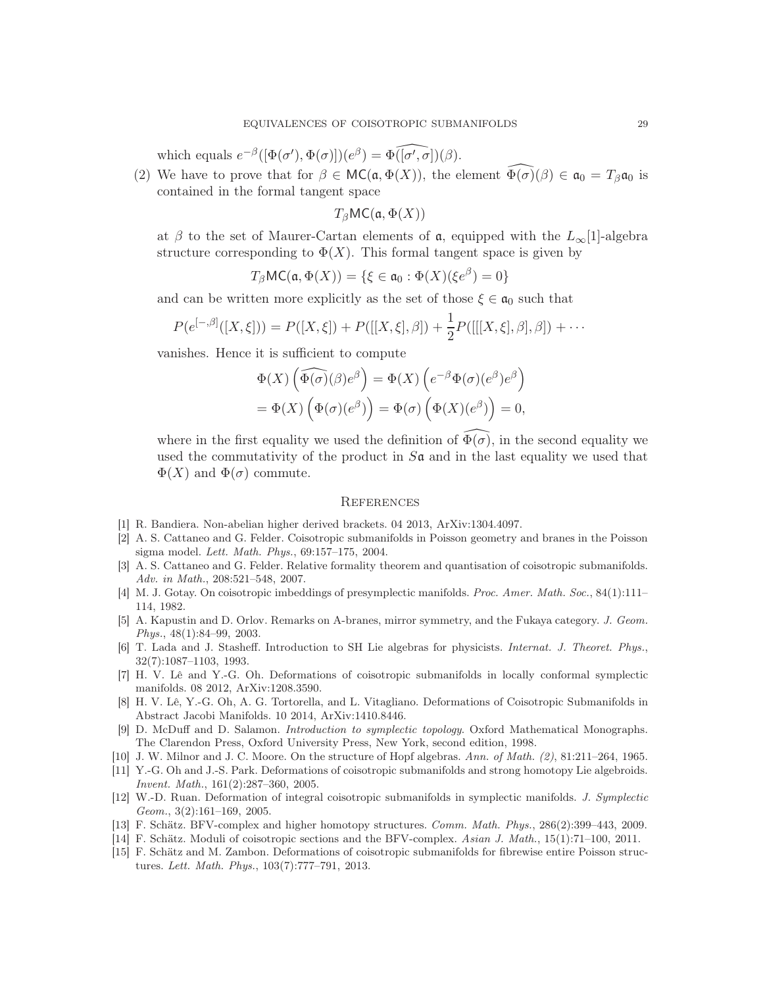which equals  $e^{-\beta}([\Phi(\sigma'), \Phi(\sigma)])(e^{\beta}) = \widehat{\Phi([\sigma', \sigma])}(\beta)$ .

(2) We have to prove that for  $\beta \in \mathsf{MC}(\mathfrak{a}, \Phi(X))$ , the element  $\Phi(\sigma)(\beta) \in \mathfrak{a}_0 = T_\beta \mathfrak{a}_0$  is contained in the formal tangent space

 $T_{\beta}$ MC( $\mathfrak{a}, \Phi(X)$ )

at  $\beta$  to the set of Maurer-Cartan elements of  $\mathfrak{a}$ , equipped with the  $L_{\infty}[1]$ -algebra structure corresponding to  $\Phi(X)$ . This formal tangent space is given by

$$
T_{\beta}MC(\mathfrak{a}, \Phi(X)) = \{ \xi \in \mathfrak{a}_0 : \Phi(X)(\xi e^{\beta}) = 0 \}
$$

and can be written more explicitly as the set of those  $\xi \in \mathfrak{a}_0$  such that

$$
P(e^{[-,\beta]}([X,\xi])) = P([X,\xi]) + P([[X,\xi],\beta]) + \frac{1}{2}P([[X,\xi],\beta],\beta]) + \cdots
$$

vanishes. Hence it is sufficient to compute

$$
\Phi(X) \left( \widehat{\Phi(\sigma)}(\beta) e^{\beta} \right) = \Phi(X) \left( e^{-\beta} \Phi(\sigma) (e^{\beta}) e^{\beta} \right)
$$

$$
= \Phi(X) \left( \Phi(\sigma) (e^{\beta}) \right) = \Phi(\sigma) \left( \Phi(X) (e^{\beta}) \right) = 0,
$$

where in the first equality we used the definition of  $\Phi(\sigma)$ , in the second equality we used the commutativity of the product in  $S\mathfrak{a}$  and in the last equality we used that  $\Phi(X)$  and  $\Phi(\sigma)$  commute.

#### <span id="page-28-0"></span>**REFERENCES**

- <span id="page-28-14"></span><span id="page-28-2"></span>[1] R. Bandiera. Non-abelian higher derived brackets. 04 2013, ArXiv:1304.4097.
- [2] A. S. Cattaneo and G. Felder. Coisotropic submanifolds in Poisson geometry and branes in the Poisson sigma model. Lett. Math. Phys., 69:157–175, 2004.
- <span id="page-28-6"></span>[3] A. S. Cattaneo and G. Felder. Relative formality theorem and quantisation of coisotropic submanifolds. Adv. in Math., 208:521–548, 2007.
- <span id="page-28-9"></span>[4] M. J. Gotay. On coisotropic imbeddings of presymplectic manifolds. Proc. Amer. Math. Soc., 84(1):111– 114, 1982.
- <span id="page-28-1"></span>[5] A. Kapustin and D. Orlov. Remarks on A-branes, mirror symmetry, and the Fukaya category. J. Geom. Phys., 48(1):84–99, 2003.
- <span id="page-28-10"></span>[6] T. Lada and J. Stasheff. Introduction to SH Lie algebras for physicists. Internat. J. Theoret. Phys., 32(7):1087–1103, 1993.
- <span id="page-28-11"></span>[7] H. V. Lê and Y.-G. Oh. Deformations of coisotropic submanifolds in locally conformal symplectic manifolds. 08 2012, ArXiv:1208.3590.
- <span id="page-28-8"></span>[8] H. V. Lê, Y.-G. Oh, A. G. Tortorella, and L. Vitagliano. Deformations of Coisotropic Submanifolds in Abstract Jacobi Manifolds. 10 2014, ArXiv:1410.8446.
- <span id="page-28-12"></span>[9] D. McDuff and D. Salamon. Introduction to symplectic topology. Oxford Mathematical Monographs. The Clarendon Press, Oxford University Press, New York, second edition, 1998.
- <span id="page-28-13"></span><span id="page-28-3"></span>[10] J. W. Milnor and J. C. Moore. On the structure of Hopf algebras. Ann. of Math. (2), 81:211–264, 1965.
- [11] Y.-G. Oh and J.-S. Park. Deformations of coisotropic submanifolds and strong homotopy Lie algebroids. Invent. Math., 161(2):287–360, 2005.
- <span id="page-28-15"></span>[12] W.-D. Ruan. Deformation of integral coisotropic submanifolds in symplectic manifolds. J. Symplectic Geom., 3(2):161–169, 2005.
- <span id="page-28-7"></span><span id="page-28-5"></span>[13] F. Schätz. BFV-complex and higher homotopy structures. Comm. Math. Phys., 286(2):399–443, 2009.
- <span id="page-28-4"></span>[14] F. Schätz. Moduli of coisotropic sections and the BFV-complex. Asian J. Math., 15(1):71–100, 2011.
- [15] F. Schätz and M. Zambon. Deformations of coisotropic submanifolds for fibrewise entire Poisson structures. Lett. Math. Phys., 103(7):777–791, 2013.